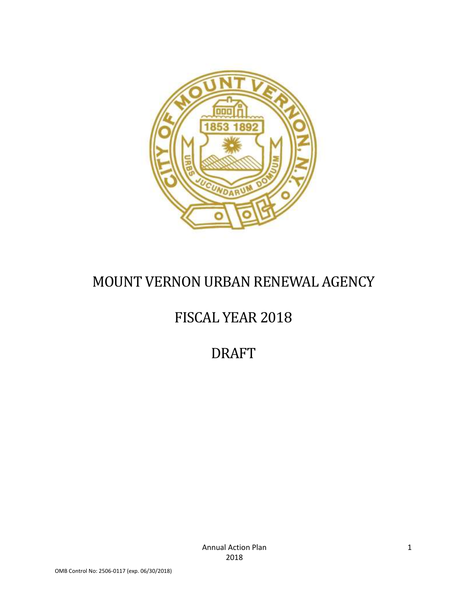

# MOUNT VERNON URBAN RENEWAL AGENCY

# FISCAL YEAR 2018

DRAFT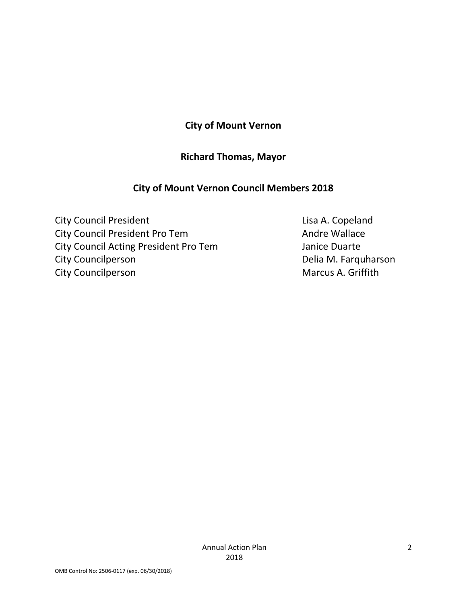### **City of Mount Vernon**

### **Richard Thomas, Mayor**

### <span id="page-1-0"></span>**City of Mount Vernon Council Members 2018**

<span id="page-1-2"></span><span id="page-1-1"></span>City Council President **Lisa A. Copeland** City Council President Pro Tem Andre Wallace City Council Acting President Pro Tem Janice Duarte City Councilperson **Delia M. Farquharson** City Councilperson **Marcus A. Griffith**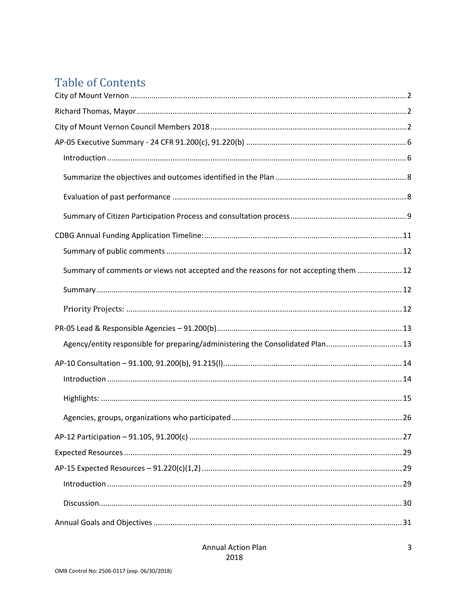# **Table of Contents**

| Summary of comments or views not accepted and the reasons for not accepting them  12 |  |
|--------------------------------------------------------------------------------------|--|
|                                                                                      |  |
|                                                                                      |  |
|                                                                                      |  |
| Agency/entity responsible for preparing/administering the Consolidated Plan13        |  |
|                                                                                      |  |
|                                                                                      |  |
|                                                                                      |  |
|                                                                                      |  |
|                                                                                      |  |
|                                                                                      |  |
|                                                                                      |  |
|                                                                                      |  |
|                                                                                      |  |
|                                                                                      |  |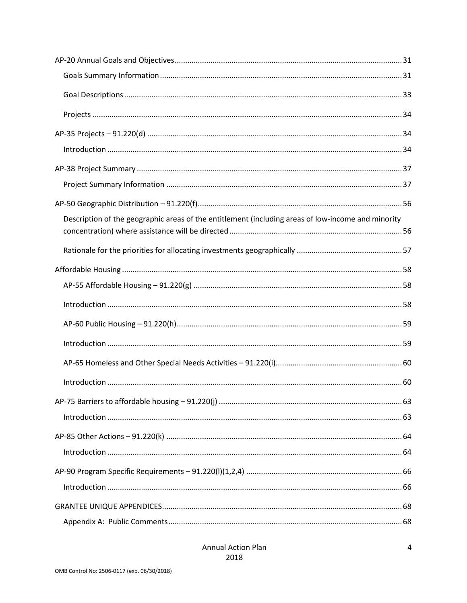| Description of the geographic areas of the entitlement (including areas of low-income and minority |  |
|----------------------------------------------------------------------------------------------------|--|
|                                                                                                    |  |
|                                                                                                    |  |
|                                                                                                    |  |
|                                                                                                    |  |
|                                                                                                    |  |
|                                                                                                    |  |
|                                                                                                    |  |
|                                                                                                    |  |
|                                                                                                    |  |
|                                                                                                    |  |
|                                                                                                    |  |
|                                                                                                    |  |
|                                                                                                    |  |
|                                                                                                    |  |
|                                                                                                    |  |
|                                                                                                    |  |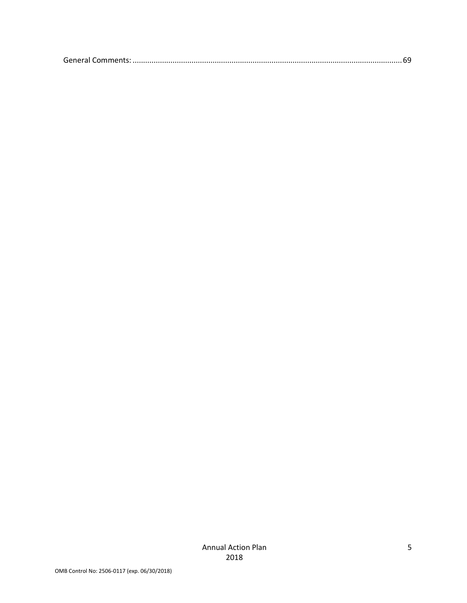|--|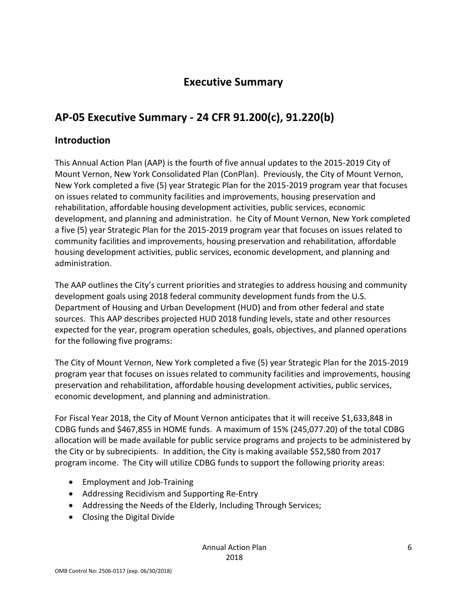## **Executive Summary**

## <span id="page-5-0"></span>**AP-05 Executive Summary - 24 CFR 91.200(c), 91.220(b)**

### <span id="page-5-1"></span>**Introduction**

This Annual Action Plan (AAP) is the fourth of five annual updates to the 2015-2019 City of Mount Vernon, New York Consolidated Plan (ConPlan). Previously, the City of Mount Vernon, New York completed a five (5) year Strategic Plan for the 2015-2019 program year that focuses on issues related to community facilities and improvements, housing preservation and rehabilitation, affordable housing development activities, public services, economic development, and planning and administration. he City of Mount Vernon, New York completed a five (5) year Strategic Plan for the 2015-2019 program year that focuses on issues related to community facilities and improvements, housing preservation and rehabilitation, affordable housing development activities, public services, economic development, and planning and administration.

The AAP outlines the City's current priorities and strategies to address housing and community development goals using 2018 federal community development funds from the U.S. Department of Housing and Urban Development (HUD) and from other federal and state sources. This AAP describes projected HUD 2018 funding levels, state and other resources expected for the year, program operation schedules, goals, objectives, and planned operations for the following five programs:

The City of Mount Vernon, New York completed a five (5) year Strategic Plan for the 2015-2019 program year that focuses on issues related to community facilities and improvements, housing preservation and rehabilitation, affordable housing development activities, public services, economic development, and planning and administration.

For Fiscal Year 2018, the City of Mount Vernon anticipates that it will receive \$1,633,848 in CDBG funds and \$467,855 in HOME funds. A maximum of 15% (245,077.20) of the total CDBG allocation will be made available for public service programs and projects to be administered by the City or by subrecipients. In addition, the City is making available \$52,580 from 2017 program income. The City will utilize CDBG funds to support the following priority areas:

- Employment and Job-Training
- Addressing Recidivism and Supporting Re-Entry
- Addressing the Needs of the Elderly, Including Through Services;
- Closing the Digital Divide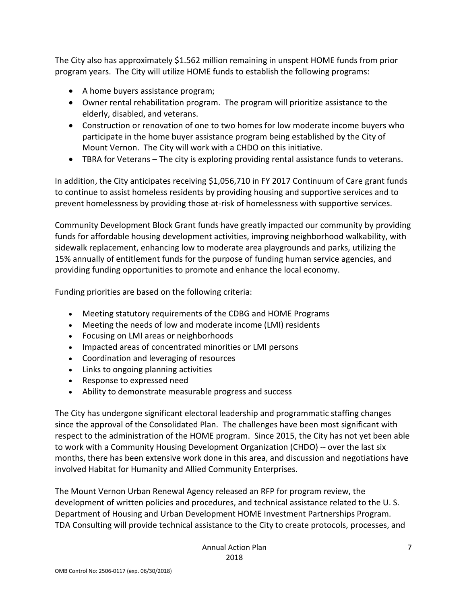The City also has approximately \$1.562 million remaining in unspent HOME funds from prior program years. The City will utilize HOME funds to establish the following programs:

- A home buyers assistance program;
- Owner rental rehabilitation program. The program will prioritize assistance to the elderly, disabled, and veterans.
- Construction or renovation of one to two homes for low moderate income buyers who participate in the home buyer assistance program being established by the City of Mount Vernon. The City will work with a CHDO on this initiative.
- TBRA for Veterans The city is exploring providing rental assistance funds to veterans.

In addition, the City anticipates receiving \$1,056,710 in FY 2017 Continuum of Care grant funds to continue to assist homeless residents by providing housing and supportive services and to prevent homelessness by providing those at-risk of homelessness with supportive services.

Community Development Block Grant funds have greatly impacted our community by providing funds for affordable housing development activities, improving neighborhood walkability, with sidewalk replacement, enhancing low to moderate area playgrounds and parks, utilizing the 15% annually of entitlement funds for the purpose of funding human service agencies, and providing funding opportunities to promote and enhance the local economy.

Funding priorities are based on the following criteria:

- Meeting statutory requirements of the CDBG and HOME Programs
- Meeting the needs of low and moderate income (LMI) residents
- Focusing on LMI areas or neighborhoods
- Impacted areas of concentrated minorities or LMI persons
- Coordination and leveraging of resources
- Links to ongoing planning activities
- Response to expressed need
- Ability to demonstrate measurable progress and success

The City has undergone significant electoral leadership and programmatic staffing changes since the approval of the Consolidated Plan. The challenges have been most significant with respect to the administration of the HOME program. Since 2015, the City has not yet been able to work with a Community Housing Development Organization (CHDO) -- over the last six months, there has been extensive work done in this area, and discussion and negotiations have involved Habitat for Humanity and Allied Community Enterprises.

The Mount Vernon Urban Renewal Agency released an RFP for program review, the development of written policies and procedures, and technical assistance related to the U. S. Department of Housing and Urban Development HOME Investment Partnerships Program. TDA Consulting will provide technical assistance to the City to create protocols, processes, and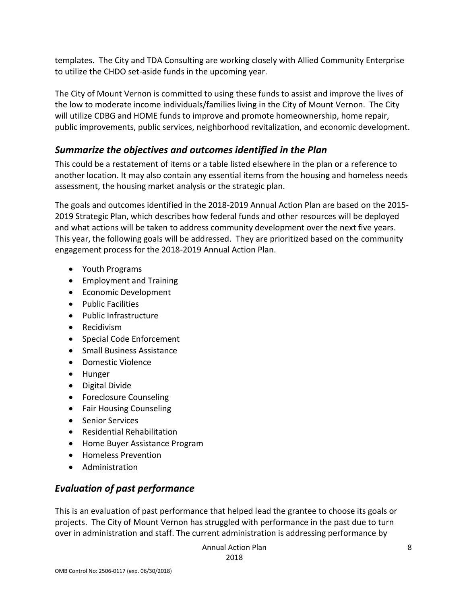templates. The City and TDA Consulting are working closely with Allied Community Enterprise to utilize the CHDO set-aside funds in the upcoming year.

The City of Mount Vernon is committed to using these funds to assist and improve the lives of the low to moderate income individuals/families living in the City of Mount Vernon. The City will utilize CDBG and HOME funds to improve and promote homeownership, home repair, public improvements, public services, neighborhood revitalization, and economic development.

### <span id="page-7-0"></span>*Summarize the objectives and outcomes identified in the Plan*

This could be a restatement of items or a table listed elsewhere in the plan or a reference to another location. It may also contain any essential items from the housing and homeless needs assessment, the housing market analysis or the strategic plan.

The goals and outcomes identified in the 2018-2019 Annual Action Plan are based on the 2015- 2019 Strategic Plan, which describes how federal funds and other resources will be deployed and what actions will be taken to address community development over the next five years. This year, the following goals will be addressed. They are prioritized based on the community engagement process for the 2018-2019 Annual Action Plan.

- Youth Programs
- Employment and Training
- Economic Development
- Public Facilities
- Public Infrastructure
- Recidivism
- Special Code Enforcement
- Small Business Assistance
- Domestic Violence
- Hunger
- Digital Divide
- Foreclosure Counseling
- Fair Housing Counseling
- Senior Services
- Residential Rehabilitation
- Home Buyer Assistance Program
- Homeless Prevention
- Administration

### <span id="page-7-1"></span>*Evaluation of past performance*

This is an evaluation of past performance that helped lead the grantee to choose its goals or projects. The City of Mount Vernon has struggled with performance in the past due to turn over in administration and staff. The current administration is addressing performance by

Annual Action Plan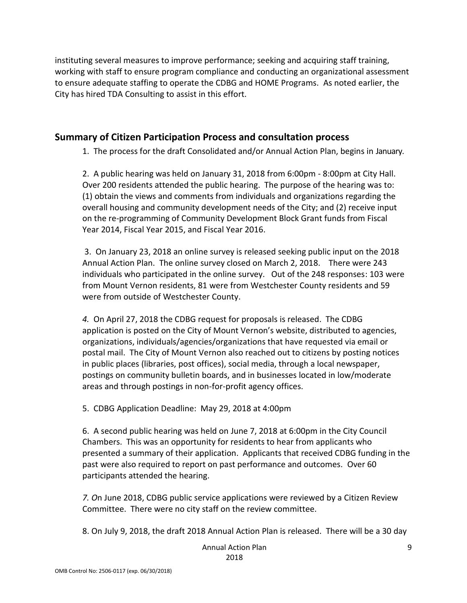instituting several measures to improve performance; seeking and acquiring staff training, working with staff to ensure program compliance and conducting an organizational assessment to ensure adequate staffing to operate the CDBG and HOME Programs. As noted earlier, the City has hired TDA Consulting to assist in this effort.

#### <span id="page-8-0"></span>**Summary of Citizen Participation Process and consultation process**

1. The process for the draft Consolidated and/or Annual Action Plan, begins in January.

2. A public hearing was held on January 31, 2018 from 6:00pm - 8:00pm at City Hall. Over 200 residents attended the public hearing. The purpose of the hearing was to: (1) obtain the views and comments from individuals and organizations regarding the overall housing and community development needs of the City; and (2) receive input on the re-programming of Community Development Block Grant funds from Fiscal Year 2014, Fiscal Year 2015, and Fiscal Year 2016.

3. On January 23, 2018 an online survey is released seeking public input on the 2018 Annual Action Plan. The online survey closed on March 2, 2018. There were 243 individuals who participated in the online survey. Out of the 248 responses: 103 were from Mount Vernon residents, 81 were from Westchester County residents and 59 were from outside of Westchester County.

*4.* On April 27, 2018 the CDBG request for proposals is released. The CDBG application is posted on the City of Mount Vernon's website, distributed to agencies, organizations, individuals/agencies/organizations that have requested via email or postal mail. The City of Mount Vernon also reached out to citizens by posting notices in public places (libraries, post offices), social media, through a local newspaper, postings on community bulletin boards, and in businesses located in low/moderate areas and through postings in non-for-profit agency offices.

5. CDBG Application Deadline: May 29, 2018 at 4:00pm

6. A second public hearing was held on June 7, 2018 at 6:00pm in the City Council Chambers. This was an opportunity for residents to hear from applicants who presented a summary of their application. Applicants that received CDBG funding in the past were also required to report on past performance and outcomes. Over 60 participants attended the hearing.

*7. O*n June 2018, CDBG public service applications were reviewed by a Citizen Review Committee. There were no city staff on the review committee.

8. On July 9, 2018, the draft 2018 Annual Action Plan is released. There will be a 30 day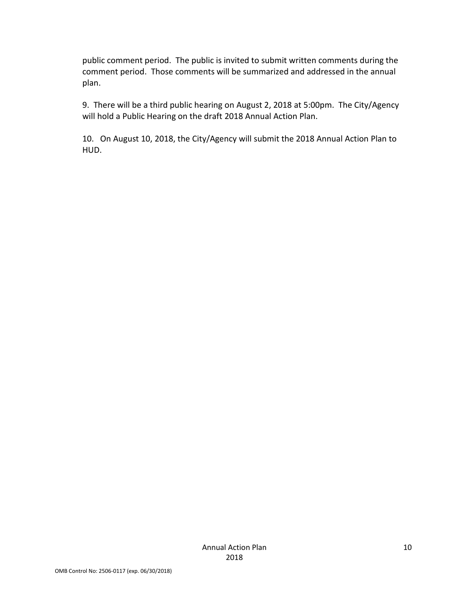public comment period. The public is invited to submit written comments during the comment period. Those comments will be summarized and addressed in the annual plan.

9. There will be a third public hearing on August 2, 2018 at 5:00pm. The City/Agency will hold a Public Hearing on the draft 2018 Annual Action Plan.

10. On August 10, 2018, the City/Agency will submit the 2018 Annual Action Plan to HUD.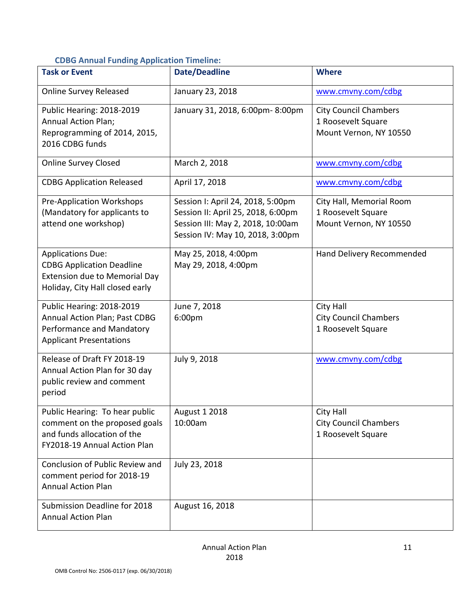### <span id="page-10-0"></span>**CDBG Annual Funding Application Timeline:**

| <b>Task or Event</b>                                                                                                                    | <b>Date/Deadline</b>                                                                                                                             | <b>Where</b>                                                                 |
|-----------------------------------------------------------------------------------------------------------------------------------------|--------------------------------------------------------------------------------------------------------------------------------------------------|------------------------------------------------------------------------------|
| <b>Online Survey Released</b>                                                                                                           | January 23, 2018                                                                                                                                 | www.cmvny.com/cdbg                                                           |
| Public Hearing: 2018-2019<br><b>Annual Action Plan;</b><br>Reprogramming of 2014, 2015,<br>2016 CDBG funds                              | January 31, 2018, 6:00pm-8:00pm                                                                                                                  | <b>City Council Chambers</b><br>1 Roosevelt Square<br>Mount Vernon, NY 10550 |
| <b>Online Survey Closed</b>                                                                                                             | March 2, 2018                                                                                                                                    | www.cmvny.com/cdbg                                                           |
| <b>CDBG Application Released</b>                                                                                                        | April 17, 2018                                                                                                                                   | www.cmvny.com/cdbg                                                           |
| <b>Pre-Application Workshops</b><br>(Mandatory for applicants to<br>attend one workshop)                                                | Session I: April 24, 2018, 5:00pm<br>Session II: April 25, 2018, 6:00pm<br>Session III: May 2, 2018, 10:00am<br>Session IV: May 10, 2018, 3:00pm | City Hall, Memorial Room<br>1 Roosevelt Square<br>Mount Vernon, NY 10550     |
| <b>Applications Due:</b><br><b>CDBG Application Deadline</b><br><b>Extension due to Memorial Day</b><br>Holiday, City Hall closed early | May 25, 2018, 4:00pm<br>May 29, 2018, 4:00pm                                                                                                     | Hand Delivery Recommended                                                    |
| Public Hearing: 2018-2019<br>Annual Action Plan; Past CDBG<br>Performance and Mandatory<br><b>Applicant Presentations</b>               | June 7, 2018<br>6:00pm                                                                                                                           | <b>City Hall</b><br><b>City Council Chambers</b><br>1 Roosevelt Square       |
| Release of Draft FY 2018-19<br>Annual Action Plan for 30 day<br>public review and comment<br>period                                     | July 9, 2018                                                                                                                                     | www.cmvny.com/cdbg                                                           |
| Public Hearing: To hear public<br>comment on the proposed goals<br>and funds allocation of the<br>FY2018-19 Annual Action Plan          | <b>August 1 2018</b><br>10:00am                                                                                                                  | <b>City Hall</b><br><b>City Council Chambers</b><br>1 Roosevelt Square       |
| Conclusion of Public Review and<br>comment period for 2018-19<br><b>Annual Action Plan</b>                                              | July 23, 2018                                                                                                                                    |                                                                              |
| Submission Deadline for 2018<br><b>Annual Action Plan</b>                                                                               | August 16, 2018                                                                                                                                  |                                                                              |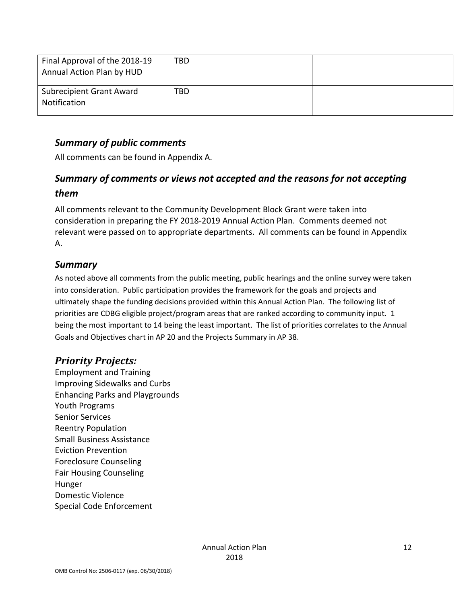| Final Approval of the 2018-19<br>Annual Action Plan by HUD | <b>TBD</b> |  |
|------------------------------------------------------------|------------|--|
| <b>Subrecipient Grant Award</b><br>Notification            | TBD        |  |

### <span id="page-11-0"></span>*Summary of public comments*

All comments can be found in Appendix A.

### <span id="page-11-1"></span>*Summary of comments or views not accepted and the reasons for not accepting them*

All comments relevant to the Community Development Block Grant were taken into consideration in preparing the FY 2018-2019 Annual Action Plan. Comments deemed not relevant were passed on to appropriate departments. All comments can be found in Appendix A.

#### <span id="page-11-2"></span>*Summary*

As noted above all comments from the public meeting, public hearings and the online survey were taken into consideration. Public participation provides the framework for the goals and projects and ultimately shape the funding decisions provided within this Annual Action Plan. The following list of priorities are CDBG eligible project/program areas that are ranked according to community input. 1 being the most important to 14 being the least important. The list of priorities correlates to the Annual Goals and Objectives chart in AP 20 and the Projects Summary in AP 38.

### <span id="page-11-3"></span>*Priority Projects:*

Employment and Training Improving Sidewalks and Curbs Enhancing Parks and Playgrounds Youth Programs Senior Services Reentry Population Small Business Assistance Eviction Prevention Foreclosure Counseling Fair Housing Counseling Hunger Domestic Violence Special Code Enforcement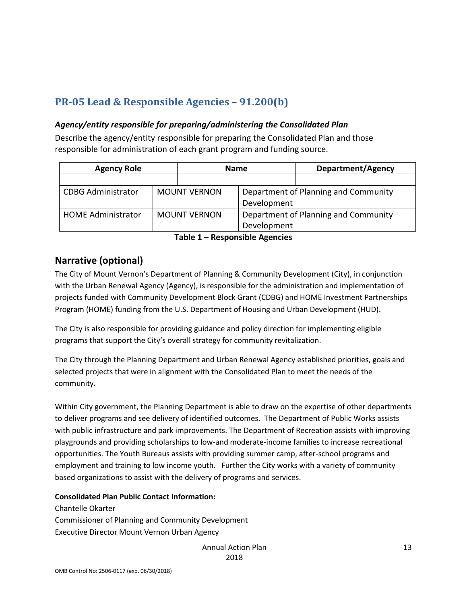## <span id="page-12-0"></span>**PR-05 Lead & Responsible Agencies – 91.200(b)**

#### <span id="page-12-1"></span>*Agency/entity responsible for preparing/administering the Consolidated Plan*

Describe the agency/entity responsible for preparing the Consolidated Plan and those responsible for administration of each grant program and funding source.

| <b>Agency Role</b>        |             | <b>Name</b>         |             | <b>Department/Agency</b>             |
|---------------------------|-------------|---------------------|-------------|--------------------------------------|
|                           |             |                     |             |                                      |
| <b>CDBG Administrator</b> |             | <b>MOUNT VERNON</b> |             | Department of Planning and Community |
|                           | Development |                     |             |                                      |
| <b>HOME Administrator</b> |             | <b>MOUNT VERNON</b> |             | Department of Planning and Community |
|                           |             |                     | Development |                                      |

**Table 1 – Responsible Agencies**

### **Narrative (optional)**

The City of Mount Vernon's Department of Planning & Community Development (City), in conjunction with the Urban Renewal Agency (Agency), is responsible for the administration and implementation of projects funded with Community Development Block Grant (CDBG) and HOME Investment Partnerships Program (HOME) funding from the U.S. Department of Housing and Urban Development (HUD).

The City is also responsible for providing guidance and policy direction for implementing eligible programs that support the City's overall strategy for community revitalization.

The City through the Planning Department and Urban Renewal Agency established priorities, goals and selected projects that were in alignment with the Consolidated Plan to meet the needs of the community.

Within City government, the Planning Department is able to draw on the expertise of other departments to deliver programs and see delivery of identified outcomes. The Department of Public Works assists with public infrastructure and park improvements. The Department of Recreation assists with improving playgrounds and providing scholarships to low-and moderate-income families to increase recreational opportunities. The Youth Bureaus assists with providing summer camp, after-school programs and employment and training to low income youth. Further the City works with a variety of community based organizations to assist with the delivery of programs and services.

#### **Consolidated Plan Public Contact Information:**

Chantelle Okarter Commissioner of Planning and Community Development Executive Director Mount Vernon Urban Agency

> Annual Action Plan 2018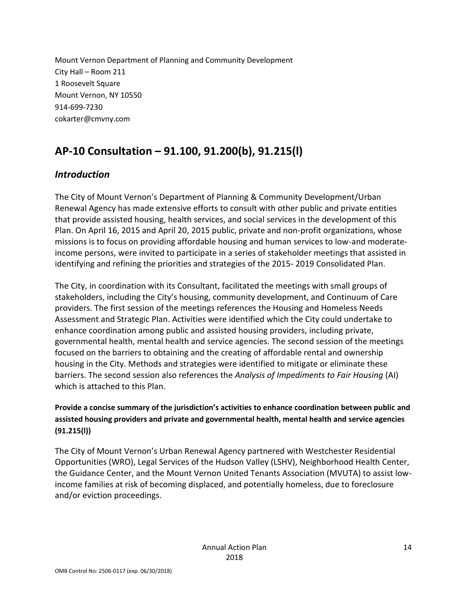Mount Vernon Department of Planning and Community Development City Hall – Room 211 1 Roosevelt Square Mount Vernon, NY 10550 914-699-7230 cokarter@cmvny.com

## <span id="page-13-0"></span>**AP-10 Consultation – 91.100, 91.200(b), 91.215(l)**

### <span id="page-13-1"></span>*Introduction*

The City of Mount Vernon's Department of Planning & Community Development/Urban Renewal Agency has made extensive efforts to consult with other public and private entities that provide assisted housing, health services, and social services in the development of this Plan. On April 16, 2015 and April 20, 2015 public, private and non-profit organizations, whose missions is to focus on providing affordable housing and human services to low-and moderateincome persons, were invited to participate in a series of stakeholder meetings that assisted in identifying and refining the priorities and strategies of the 2015- 2019 Consolidated Plan.

The City, in coordination with its Consultant, facilitated the meetings with small groups of stakeholders, including the City's housing, community development, and Continuum of Care providers. The first session of the meetings references the Housing and Homeless Needs Assessment and Strategic Plan. Activities were identified which the City could undertake to enhance coordination among public and assisted housing providers, including private, governmental health, mental health and service agencies. The second session of the meetings focused on the barriers to obtaining and the creating of affordable rental and ownership housing in the City. Methods and strategies were identified to mitigate or eliminate these barriers. The second session also references the *Analysis of Impediments to Fair Housing* (AI) which is attached to this Plan.

**Provide a concise summary of the jurisdiction's activities to enhance coordination between public and assisted housing providers and private and governmental health, mental health and service agencies (91.215(l))**

The City of Mount Vernon's Urban Renewal Agency partnered with Westchester Residential Opportunities (WRO), Legal Services of the Hudson Valley (LSHV), Neighborhood Health Center, the Guidance Center, and the Mount Vernon United Tenants Association (MVUTA) to assist lowincome families at risk of becoming displaced, and potentially homeless, due to foreclosure and/or eviction proceedings.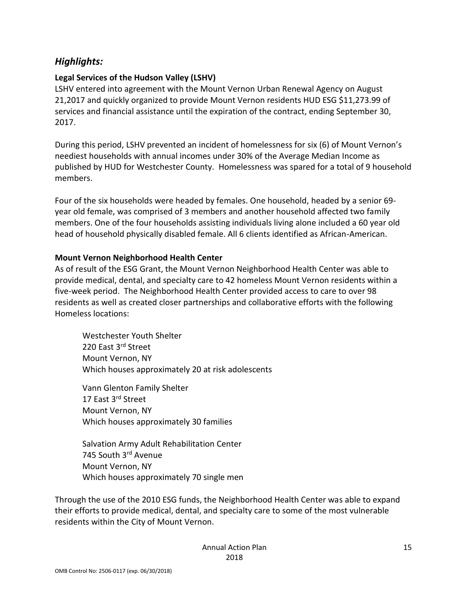### <span id="page-14-0"></span>*Highlights:*

#### **Legal Services of the Hudson Valley (LSHV)**

LSHV entered into agreement with the Mount Vernon Urban Renewal Agency on August 21,2017 and quickly organized to provide Mount Vernon residents HUD ESG \$11,273.99 of services and financial assistance until the expiration of the contract, ending September 30, 2017.

During this period, LSHV prevented an incident of homelessness for six (6) of Mount Vernon's neediest households with annual incomes under 30% of the Average Median Income as published by HUD for Westchester County. Homelessness was spared for a total of 9 household members.

Four of the six households were headed by females. One household, headed by a senior 69 year old female, was comprised of 3 members and another household affected two family members. One of the four households assisting individuals living alone included a 60 year old head of household physically disabled female. All 6 clients identified as African-American.

#### **Mount Vernon Neighborhood Health Center**

As of result of the ESG Grant, the Mount Vernon Neighborhood Health Center was able to provide medical, dental, and specialty care to 42 homeless Mount Vernon residents within a five-week period. The Neighborhood Health Center provided access to care to over 98 residents as well as created closer partnerships and collaborative efforts with the following Homeless locations:

Westchester Youth Shelter 220 East 3<sup>rd</sup> Street Mount Vernon, NY Which houses approximately 20 at risk adolescents

Vann Glenton Family Shelter 17 East 3<sup>rd</sup> Street Mount Vernon, NY Which houses approximately 30 families

Salvation Army Adult Rehabilitation Center 745 South 3rd Avenue Mount Vernon, NY Which houses approximately 70 single men

Through the use of the 2010 ESG funds, the Neighborhood Health Center was able to expand their efforts to provide medical, dental, and specialty care to some of the most vulnerable residents within the City of Mount Vernon.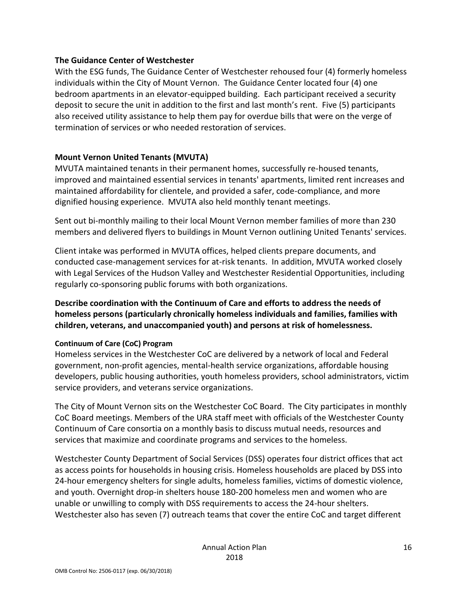#### **The Guidance Center of Westchester**

With the ESG funds, The Guidance Center of Westchester rehoused four (4) formerly homeless individuals within the City of Mount Vernon. The Guidance Center located four (4) one bedroom apartments in an elevator-equipped building. Each participant received a security deposit to secure the unit in addition to the first and last month's rent. Five (5) participants also received utility assistance to help them pay for overdue bills that were on the verge of termination of services or who needed restoration of services.

#### **Mount Vernon United Tenants (MVUTA)**

MVUTA maintained tenants in their permanent homes, successfully re-housed tenants, improved and maintained essential services in tenants' apartments, limited rent increases and maintained affordability for clientele, and provided a safer, code-compliance, and more dignified housing experience. MVUTA also held monthly tenant meetings.

Sent out bi-monthly mailing to their local Mount Vernon member families of more than 230 members and delivered flyers to buildings in Mount Vernon outlining United Tenants' services.

Client intake was performed in MVUTA offices, helped clients prepare documents, and conducted case-management services for at-risk tenants. In addition, MVUTA worked closely with Legal Services of the Hudson Valley and Westchester Residential Opportunities, including regularly co-sponsoring public forums with both organizations.

#### **Describe coordination with the Continuum of Care and efforts to address the needs of homeless persons (particularly chronically homeless individuals and families, families with children, veterans, and unaccompanied youth) and persons at risk of homelessness.**

#### **Continuum of Care (CoC) Program**

Homeless services in the Westchester CoC are delivered by a network of local and Federal government, non-profit agencies, mental-health service organizations, affordable housing developers, public housing authorities, youth homeless providers, school administrators, victim service providers, and veterans service organizations.

The City of Mount Vernon sits on the Westchester CoC Board. The City participates in monthly CoC Board meetings. Members of the URA staff meet with officials of the Westchester County Continuum of Care consortia on a monthly basis to discuss mutual needs, resources and services that maximize and coordinate programs and services to the homeless.

Westchester County Department of Social Services (DSS) operates four district offices that act as access points for households in housing crisis. Homeless households are placed by DSS into 24-hour emergency shelters for single adults, homeless families, victims of domestic violence, and youth. Overnight drop-in shelters house 180-200 homeless men and women who are unable or unwilling to comply with DSS requirements to access the 24-hour shelters. Westchester also has seven (7) outreach teams that cover the entire CoC and target different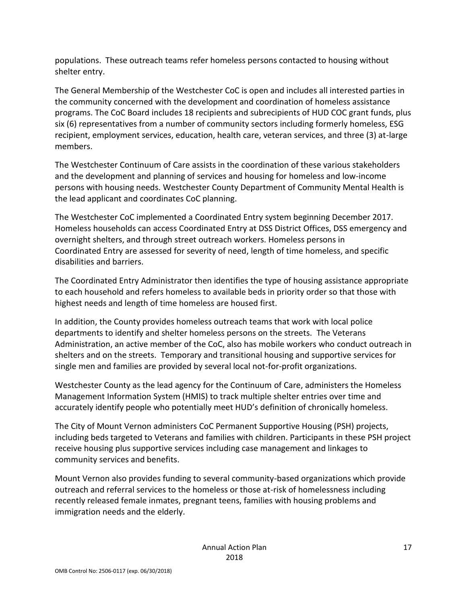populations. These outreach teams refer homeless persons contacted to housing without shelter entry.

The General Membership of the Westchester CoC is open and includes all interested parties in the community concerned with the development and coordination of homeless assistance programs. The CoC Board includes 18 recipients and subrecipients of HUD COC grant funds, plus six (6) representatives from a number of community sectors including formerly homeless, ESG recipient, employment services, education, health care, veteran services, and three (3) at-large members.

The Westchester Continuum of Care assists in the coordination of these various stakeholders and the development and planning of services and housing for homeless and low-income persons with housing needs. Westchester County Department of Community Mental Health is the lead applicant and coordinates CoC planning.

The Westchester CoC implemented a Coordinated Entry system beginning December 2017. Homeless households can access Coordinated Entry at DSS District Offices, DSS emergency and overnight shelters, and through street outreach workers. Homeless persons in Coordinated Entry are assessed for severity of need, length of time homeless, and specific disabilities and barriers.

The Coordinated Entry Administrator then identifies the type of housing assistance appropriate to each household and refers homeless to available beds in priority order so that those with highest needs and length of time homeless are housed first.

In addition, the County provides homeless outreach teams that work with local police departments to identify and shelter homeless persons on the streets. The Veterans Administration, an active member of the CoC, also has mobile workers who conduct outreach in shelters and on the streets. Temporary and transitional housing and supportive services for single men and families are provided by several local not-for-profit organizations.

Westchester County as the lead agency for the Continuum of Care, administers the Homeless Management Information System (HMIS) to track multiple shelter entries over time and accurately identify people who potentially meet HUD's definition of chronically homeless.

The City of Mount Vernon administers CoC Permanent Supportive Housing (PSH) projects, including beds targeted to Veterans and families with children. Participants in these PSH project receive housing plus supportive services including case management and linkages to community services and benefits.

Mount Vernon also provides funding to several community-based organizations which provide outreach and referral services to the homeless or those at-risk of homelessness including recently released female inmates, pregnant teens, families with housing problems and immigration needs and the elderly.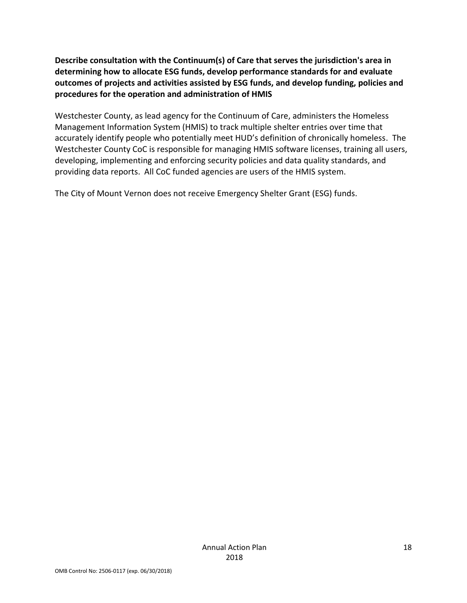**Describe consultation with the Continuum(s) of Care that serves the jurisdiction's area in determining how to allocate ESG funds, develop performance standards for and evaluate outcomes of projects and activities assisted by ESG funds, and develop funding, policies and procedures for the operation and administration of HMIS**

Westchester County, as lead agency for the Continuum of Care, administers the Homeless Management Information System (HMIS) to track multiple shelter entries over time that accurately identify people who potentially meet HUD's definition of chronically homeless. The Westchester County CoC is responsible for managing HMIS software licenses, training all users, developing, implementing and enforcing security policies and data quality standards, and providing data reports. All CoC funded agencies are users of the HMIS system.

The City of Mount Vernon does not receive Emergency Shelter Grant (ESG) funds.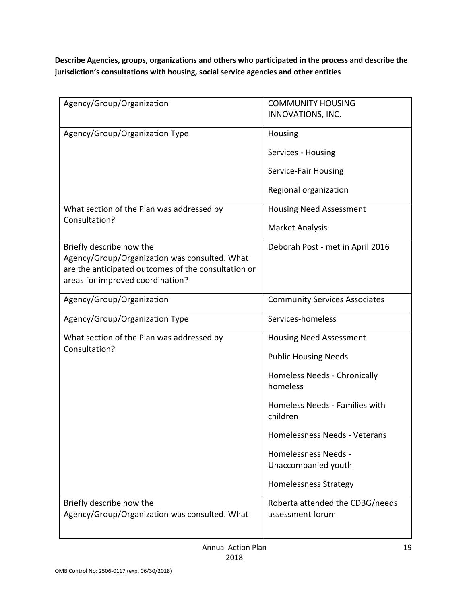**Describe Agencies, groups, organizations and others who participated in the process and describe the jurisdiction's consultations with housing, social service agencies and other entities**

| Agency/Group/Organization                                                 | <b>COMMUNITY HOUSING</b><br>INNOVATIONS, INC. |
|---------------------------------------------------------------------------|-----------------------------------------------|
|                                                                           |                                               |
| Agency/Group/Organization Type                                            | Housing                                       |
|                                                                           | Services - Housing                            |
|                                                                           | Service-Fair Housing                          |
|                                                                           | Regional organization                         |
| What section of the Plan was addressed by<br>Consultation?                | <b>Housing Need Assessment</b>                |
|                                                                           | <b>Market Analysis</b>                        |
| Briefly describe how the<br>Agency/Group/Organization was consulted. What | Deborah Post - met in April 2016              |
| are the anticipated outcomes of the consultation or                       |                                               |
| areas for improved coordination?                                          |                                               |
| Agency/Group/Organization                                                 | <b>Community Services Associates</b>          |
| Agency/Group/Organization Type                                            | Services-homeless                             |
|                                                                           |                                               |
| What section of the Plan was addressed by                                 | <b>Housing Need Assessment</b>                |
| Consultation?                                                             | <b>Public Housing Needs</b>                   |
|                                                                           | Homeless Needs - Chronically<br>homeless      |
|                                                                           | Homeless Needs - Families with<br>children    |
|                                                                           | Homelessness Needs - Veterans                 |
|                                                                           | <b>Homelessness Needs -</b>                   |
|                                                                           | Unaccompanied youth                           |
|                                                                           | <b>Homelessness Strategy</b>                  |
| Briefly describe how the                                                  | Roberta attended the CDBG/needs               |
| Agency/Group/Organization was consulted. What                             | assessment forum                              |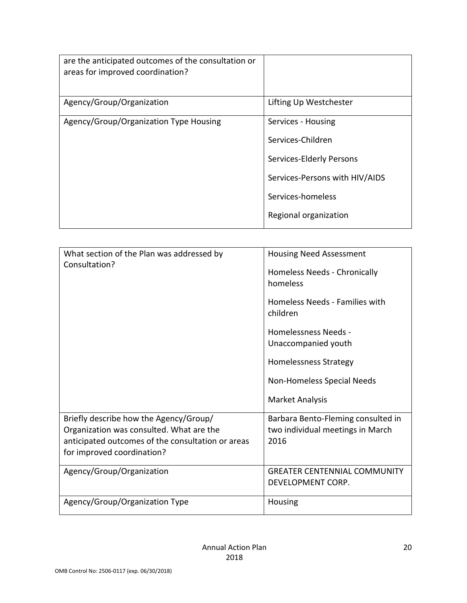| are the anticipated outcomes of the consultation or<br>areas for improved coordination? |                                |
|-----------------------------------------------------------------------------------------|--------------------------------|
| Agency/Group/Organization                                                               | Lifting Up Westchester         |
| Agency/Group/Organization Type Housing                                                  | Services - Housing             |
|                                                                                         | Services-Children              |
|                                                                                         | Services-Elderly Persons       |
|                                                                                         | Services-Persons with HIV/AIDS |
|                                                                                         | Services-homeless              |
|                                                                                         | Regional organization          |

| What section of the Plan was addressed by<br>Consultation? | <b>Housing Need Assessment</b>             |
|------------------------------------------------------------|--------------------------------------------|
|                                                            | Homeless Needs - Chronically<br>homeless   |
|                                                            | Homeless Needs - Families with<br>children |
|                                                            | Homelessness Needs -                       |
|                                                            | Unaccompanied youth                        |
|                                                            | Homelessness Strategy                      |
|                                                            | Non-Homeless Special Needs                 |
|                                                            | Market Analysis                            |
| Briefly describe how the Agency/Group/                     | Barbara Bento-Fleming consulted in         |
| Organization was consulted. What are the                   | two individual meetings in March           |
| anticipated outcomes of the consultation or areas          | 2016                                       |
| for improved coordination?                                 |                                            |
| Agency/Group/Organization                                  | <b>GREATER CENTENNIAL COMMUNITY</b>        |
|                                                            | DEVELOPMENT CORP.                          |
| Agency/Group/Organization Type                             | Housing                                    |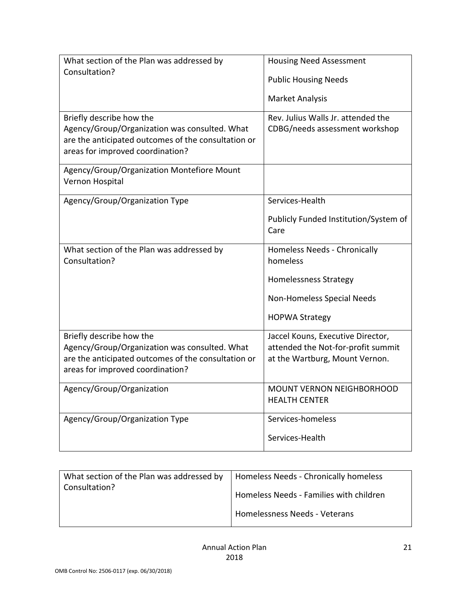| What section of the Plan was addressed by<br>Consultation?                                                                                                           | <b>Housing Need Assessment</b><br><b>Public Housing Needs</b><br><b>Market Analysis</b>                                  |
|----------------------------------------------------------------------------------------------------------------------------------------------------------------------|--------------------------------------------------------------------------------------------------------------------------|
| Briefly describe how the<br>Agency/Group/Organization was consulted. What<br>are the anticipated outcomes of the consultation or<br>areas for improved coordination? | Rev. Julius Walls Jr. attended the<br>CDBG/needs assessment workshop                                                     |
| Agency/Group/Organization Montefiore Mount<br>Vernon Hospital                                                                                                        |                                                                                                                          |
| Agency/Group/Organization Type                                                                                                                                       | Services-Health<br>Publicly Funded Institution/System of<br>Care                                                         |
| What section of the Plan was addressed by<br>Consultation?                                                                                                           | Homeless Needs - Chronically<br>homeless<br>Homelessness Strategy<br>Non-Homeless Special Needs<br><b>HOPWA Strategy</b> |
| Briefly describe how the<br>Agency/Group/Organization was consulted. What<br>are the anticipated outcomes of the consultation or<br>areas for improved coordination? | Jaccel Kouns, Executive Director,<br>attended the Not-for-profit summit<br>at the Wartburg, Mount Vernon.                |
| Agency/Group/Organization                                                                                                                                            | MOUNT VERNON NEIGHBORHOOD<br><b>HEALTH CENTER</b>                                                                        |
| Agency/Group/Organization Type                                                                                                                                       | Services-homeless<br>Services-Health                                                                                     |

| Homeless Needs - Chronically homeless                                    |
|--------------------------------------------------------------------------|
| Homeless Needs - Families with children<br>Homelessness Needs - Veterans |
|                                                                          |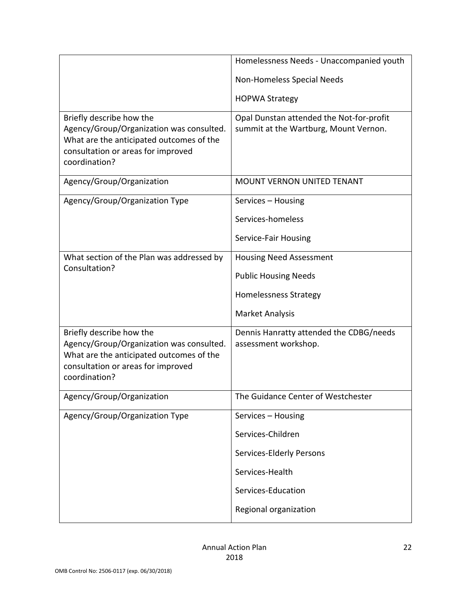|                                                                                                                                                                         | Homelessness Needs - Unaccompanied youth                                          |
|-------------------------------------------------------------------------------------------------------------------------------------------------------------------------|-----------------------------------------------------------------------------------|
|                                                                                                                                                                         | Non-Homeless Special Needs                                                        |
|                                                                                                                                                                         | <b>HOPWA Strategy</b>                                                             |
| Briefly describe how the<br>Agency/Group/Organization was consulted.<br>What are the anticipated outcomes of the<br>consultation or areas for improved<br>coordination? | Opal Dunstan attended the Not-for-profit<br>summit at the Wartburg, Mount Vernon. |
| Agency/Group/Organization                                                                                                                                               | <b>MOUNT VERNON UNITED TENANT</b>                                                 |
| Agency/Group/Organization Type                                                                                                                                          | Services - Housing                                                                |
|                                                                                                                                                                         | Services-homeless                                                                 |
|                                                                                                                                                                         | Service-Fair Housing                                                              |
| What section of the Plan was addressed by                                                                                                                               | <b>Housing Need Assessment</b>                                                    |
| Consultation?                                                                                                                                                           | <b>Public Housing Needs</b>                                                       |
|                                                                                                                                                                         | Homelessness Strategy                                                             |
|                                                                                                                                                                         | <b>Market Analysis</b>                                                            |
| Briefly describe how the<br>Agency/Group/Organization was consulted.<br>What are the anticipated outcomes of the<br>consultation or areas for improved<br>coordination? | Dennis Hanratty attended the CDBG/needs<br>assessment workshop.                   |
| Agency/Group/Organization                                                                                                                                               | The Guidance Center of Westchester                                                |
| Agency/Group/Organization Type                                                                                                                                          | Services - Housing                                                                |
|                                                                                                                                                                         | Services-Children                                                                 |
|                                                                                                                                                                         | Services-Elderly Persons                                                          |
|                                                                                                                                                                         | Services-Health                                                                   |
|                                                                                                                                                                         | Services-Education                                                                |
|                                                                                                                                                                         | Regional organization                                                             |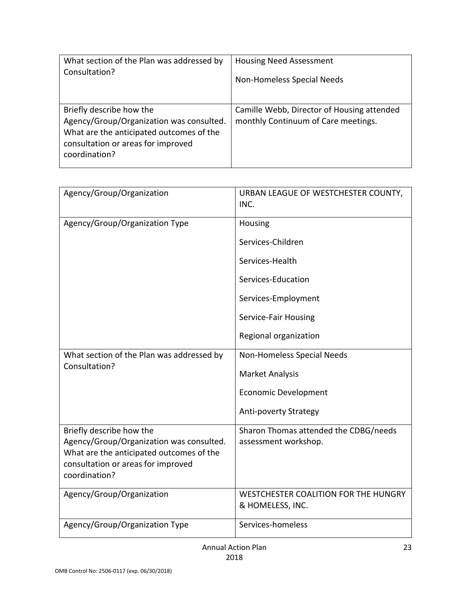| What section of the Plan was addressed by                                                                                                                               | <b>Housing Need Assessment</b>                                                    |
|-------------------------------------------------------------------------------------------------------------------------------------------------------------------------|-----------------------------------------------------------------------------------|
| Consultation?                                                                                                                                                           | Non-Homeless Special Needs                                                        |
| Briefly describe how the<br>Agency/Group/Organization was consulted.<br>What are the anticipated outcomes of the<br>consultation or areas for improved<br>coordination? | Camille Webb, Director of Housing attended<br>monthly Continuum of Care meetings. |

| Agency/Group/Organization                                                                                                                                               | URBAN LEAGUE OF WESTCHESTER COUNTY,<br>INC.                                                                         |
|-------------------------------------------------------------------------------------------------------------------------------------------------------------------------|---------------------------------------------------------------------------------------------------------------------|
| Agency/Group/Organization Type                                                                                                                                          | Housing<br>Services-Children<br>Services-Health<br>Services-Education<br>Services-Employment                        |
|                                                                                                                                                                         | Service-Fair Housing<br>Regional organization                                                                       |
| What section of the Plan was addressed by<br>Consultation?                                                                                                              | Non-Homeless Special Needs<br><b>Market Analysis</b><br><b>Economic Development</b><br><b>Anti-poverty Strategy</b> |
| Briefly describe how the<br>Agency/Group/Organization was consulted.<br>What are the anticipated outcomes of the<br>consultation or areas for improved<br>coordination? | Sharon Thomas attended the CDBG/needs<br>assessment workshop.                                                       |
| Agency/Group/Organization                                                                                                                                               | WESTCHESTER COALITION FOR THE HUNGRY<br>& HOMELESS, INC.                                                            |
| Agency/Group/Organization Type                                                                                                                                          | Services-homeless                                                                                                   |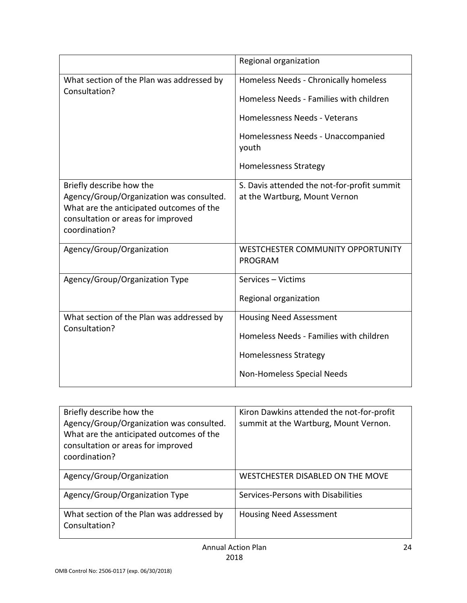|                                                                                                                                                                         | Regional organization                                                        |
|-------------------------------------------------------------------------------------------------------------------------------------------------------------------------|------------------------------------------------------------------------------|
| What section of the Plan was addressed by<br>Consultation?                                                                                                              | Homeless Needs - Chronically homeless                                        |
|                                                                                                                                                                         | Homeless Needs - Families with children                                      |
|                                                                                                                                                                         | Homelessness Needs - Veterans                                                |
|                                                                                                                                                                         | Homelessness Needs - Unaccompanied<br>youth                                  |
|                                                                                                                                                                         | Homelessness Strategy                                                        |
| Briefly describe how the<br>Agency/Group/Organization was consulted.<br>What are the anticipated outcomes of the<br>consultation or areas for improved<br>coordination? | S. Davis attended the not-for-profit summit<br>at the Wartburg, Mount Vernon |
| Agency/Group/Organization                                                                                                                                               | WESTCHESTER COMMUNITY OPPORTUNITY<br><b>PROGRAM</b>                          |
| Agency/Group/Organization Type                                                                                                                                          | Services - Victims                                                           |
|                                                                                                                                                                         | Regional organization                                                        |
| What section of the Plan was addressed by<br>Consultation?                                                                                                              | <b>Housing Need Assessment</b>                                               |
|                                                                                                                                                                         | Homeless Needs - Families with children                                      |
|                                                                                                                                                                         | <b>Homelessness Strategy</b>                                                 |
|                                                                                                                                                                         | <b>Non-Homeless Special Needs</b>                                            |

| Briefly describe how the<br>Agency/Group/Organization was consulted.<br>What are the anticipated outcomes of the<br>consultation or areas for improved<br>coordination? | Kiron Dawkins attended the not-for-profit<br>summit at the Wartburg, Mount Vernon. |
|-------------------------------------------------------------------------------------------------------------------------------------------------------------------------|------------------------------------------------------------------------------------|
| Agency/Group/Organization                                                                                                                                               | WESTCHESTER DISABLED ON THE MOVE                                                   |
| Agency/Group/Organization Type                                                                                                                                          | Services-Persons with Disabilities                                                 |
| What section of the Plan was addressed by<br>Consultation?                                                                                                              | <b>Housing Need Assessment</b>                                                     |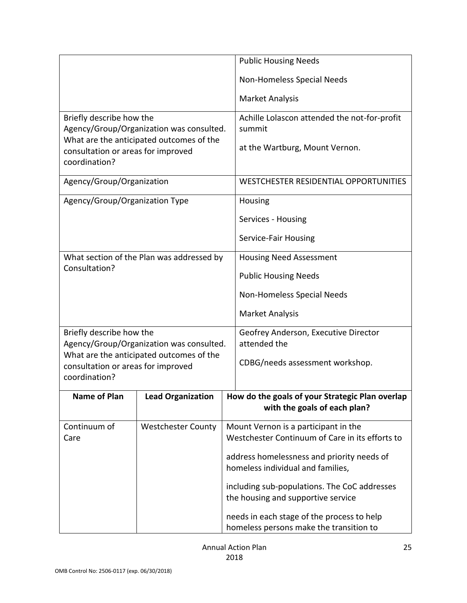|                                                     |                                           | <b>Public Housing Needs</b>                                                             |  |
|-----------------------------------------------------|-------------------------------------------|-----------------------------------------------------------------------------------------|--|
|                                                     |                                           | Non-Homeless Special Needs                                                              |  |
|                                                     |                                           | <b>Market Analysis</b>                                                                  |  |
| Briefly describe how the                            | Agency/Group/Organization was consulted.  | Achille Lolascon attended the not-for-profit<br>summit                                  |  |
| consultation or areas for improved<br>coordination? | What are the anticipated outcomes of the  | at the Wartburg, Mount Vernon.                                                          |  |
| Agency/Group/Organization                           |                                           | WESTCHESTER RESIDENTIAL OPPORTUNITIES                                                   |  |
| Agency/Group/Organization Type                      |                                           | Housing                                                                                 |  |
|                                                     |                                           | Services - Housing                                                                      |  |
|                                                     |                                           | Service-Fair Housing                                                                    |  |
|                                                     | What section of the Plan was addressed by | <b>Housing Need Assessment</b>                                                          |  |
| Consultation?                                       |                                           | <b>Public Housing Needs</b>                                                             |  |
|                                                     |                                           | Non-Homeless Special Needs                                                              |  |
|                                                     |                                           | <b>Market Analysis</b>                                                                  |  |
| Briefly describe how the                            | Agency/Group/Organization was consulted.  | Geofrey Anderson, Executive Director<br>attended the                                    |  |
|                                                     | What are the anticipated outcomes of the  | CDBG/needs assessment workshop.                                                         |  |
| consultation or areas for improved<br>coordination? |                                           |                                                                                         |  |
| Name of Plan                                        | <b>Lead Organization</b>                  | How do the goals of your Strategic Plan overlap                                         |  |
|                                                     |                                           | with the goals of each plan?                                                            |  |
| Continuum of<br>Care                                | <b>Westchester County</b>                 | Mount Vernon is a participant in the<br>Westchester Continuum of Care in its efforts to |  |
|                                                     |                                           | address homelessness and priority needs of<br>homeless individual and families,         |  |
|                                                     |                                           | including sub-populations. The CoC addresses                                            |  |
|                                                     | the housing and supportive service        |                                                                                         |  |
|                                                     |                                           | needs in each stage of the process to help                                              |  |
|                                                     |                                           | homeless persons make the transition to                                                 |  |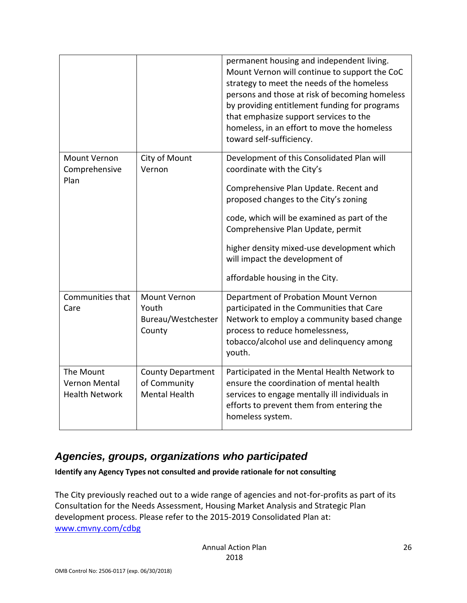|                                                     |                                                                  | permanent housing and independent living.<br>Mount Vernon will continue to support the CoC<br>strategy to meet the needs of the homeless<br>persons and those at risk of becoming homeless<br>by providing entitlement funding for programs<br>that emphasize support services to the<br>homeless, in an effort to move the homeless<br>toward self-sufficiency.  |
|-----------------------------------------------------|------------------------------------------------------------------|-------------------------------------------------------------------------------------------------------------------------------------------------------------------------------------------------------------------------------------------------------------------------------------------------------------------------------------------------------------------|
| Mount Vernon<br>Comprehensive<br>Plan               | City of Mount<br>Vernon                                          | Development of this Consolidated Plan will<br>coordinate with the City's<br>Comprehensive Plan Update. Recent and<br>proposed changes to the City's zoning<br>code, which will be examined as part of the<br>Comprehensive Plan Update, permit<br>higher density mixed-use development which<br>will impact the development of<br>affordable housing in the City. |
| Communities that<br>Care                            | <b>Mount Vernon</b><br>Youth<br>Bureau/Westchester<br>County     | Department of Probation Mount Vernon<br>participated in the Communities that Care<br>Network to employ a community based change<br>process to reduce homelessness,<br>tobacco/alcohol use and delinquency among<br>youth.                                                                                                                                         |
| The Mount<br>Vernon Mental<br><b>Health Network</b> | <b>County Department</b><br>of Community<br><b>Mental Health</b> | Participated in the Mental Health Network to<br>ensure the coordination of mental health<br>services to engage mentally ill individuals in<br>efforts to prevent them from entering the<br>homeless system.                                                                                                                                                       |

### <span id="page-25-0"></span>*Agencies, groups, organizations who participated*

**Identify any Agency Types not consulted and provide rationale for not consulting**

The City previously reached out to a wide range of agencies and not-for-profits as part of its Consultation for the Needs Assessment, Housing Market Analysis and Strategic Plan development process. Please refer to the 2015-2019 Consolidated Plan at: [www.cmvny.com/cdbg](http://www.cmvny.com/cdbg)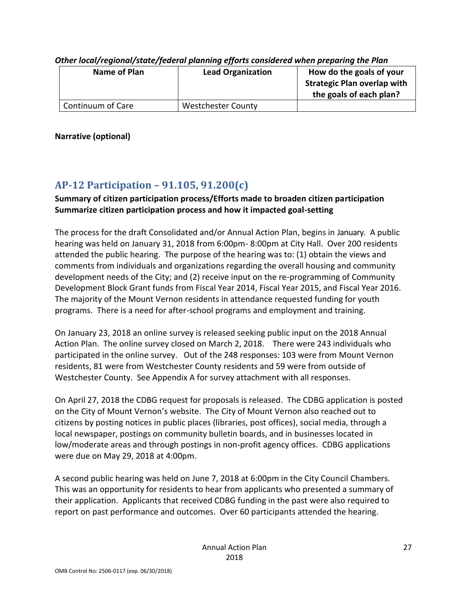| Name of Plan      | <b>Lead Organization</b>  | How do the goals of your<br><b>Strategic Plan overlap with</b><br>the goals of each plan? |
|-------------------|---------------------------|-------------------------------------------------------------------------------------------|
| Continuum of Care | <b>Westchester County</b> |                                                                                           |

*Other local/regional/state/federal planning efforts considered when preparing the Plan*

**Narrative (optional)**

## <span id="page-26-0"></span>**AP-12 Participation – 91.105, 91.200(c)**

### **Summary of citizen participation process/Efforts made to broaden citizen participation Summarize citizen participation process and how it impacted goal-setting**

The process for the draft Consolidated and/or Annual Action Plan, begins in January. A public hearing was held on January 31, 2018 from 6:00pm- 8:00pm at City Hall. Over 200 residents attended the public hearing. The purpose of the hearing was to: (1) obtain the views and comments from individuals and organizations regarding the overall housing and community development needs of the City; and (2) receive input on the re-programming of Community Development Block Grant funds from Fiscal Year 2014, Fiscal Year 2015, and Fiscal Year 2016. The majority of the Mount Vernon residents in attendance requested funding for youth programs. There is a need for after-school programs and employment and training.

On January 23, 2018 an online survey is released seeking public input on the 2018 Annual Action Plan. The online survey closed on March 2, 2018. There were 243 individuals who participated in the online survey. Out of the 248 responses: 103 were from Mount Vernon residents, 81 were from Westchester County residents and 59 were from outside of Westchester County. See Appendix A for survey attachment with all responses.

On April 27, 2018 the CDBG request for proposals is released. The CDBG application is posted on the City of Mount Vernon's website. The City of Mount Vernon also reached out to citizens by posting notices in public places (libraries, post offices), social media, through a local newspaper, postings on community bulletin boards, and in businesses located in low/moderate areas and through postings in non-profit agency offices. CDBG applications were due on May 29, 2018 at 4:00pm.

A second public hearing was held on June 7, 2018 at 6:00pm in the City Council Chambers. This was an opportunity for residents to hear from applicants who presented a summary of their application. Applicants that received CDBG funding in the past were also required to report on past performance and outcomes. Over 60 participants attended the hearing.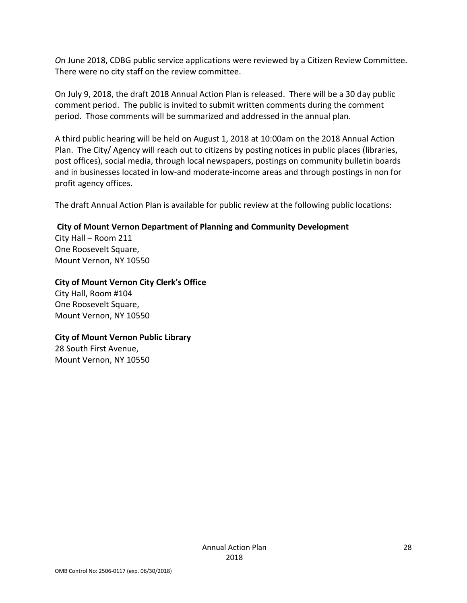*O*n June 2018, CDBG public service applications were reviewed by a Citizen Review Committee. There were no city staff on the review committee.

On July 9, 2018, the draft 2018 Annual Action Plan is released. There will be a 30 day public comment period. The public is invited to submit written comments during the comment period. Those comments will be summarized and addressed in the annual plan.

A third public hearing will be held on August 1, 2018 at 10:00am on the 2018 Annual Action Plan. The City/ Agency will reach out to citizens by posting notices in public places (libraries, post offices), social media, through local newspapers, postings on community bulletin boards and in businesses located in low-and moderate-income areas and through postings in non for profit agency offices.

The draft Annual Action Plan is available for public review at the following public locations:

#### **City of Mount Vernon Department of Planning and Community Development**

City Hall – Room 211 One Roosevelt Square, Mount Vernon, NY 10550

#### **City of Mount Vernon City Clerk's Office**

City Hall, Room #104 One Roosevelt Square, Mount Vernon, NY 10550

#### **City of Mount Vernon Public Library** 28 South First Avenue, Mount Vernon, NY 10550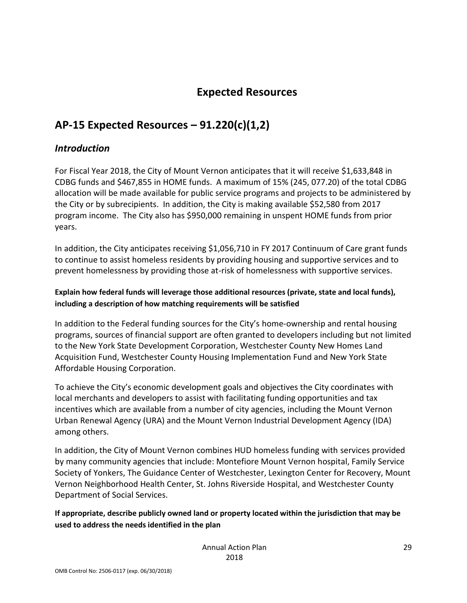### **Expected Resources**

## <span id="page-28-1"></span><span id="page-28-0"></span>**AP-15 Expected Resources – 91.220(c)(1,2)**

### <span id="page-28-2"></span>*Introduction*

For Fiscal Year 2018, the City of Mount Vernon anticipates that it will receive \$1,633,848 in CDBG funds and \$467,855 in HOME funds. A maximum of 15% (245, 077.20) of the total CDBG allocation will be made available for public service programs and projects to be administered by the City or by subrecipients. In addition, the City is making available \$52,580 from 2017 program income. The City also has \$950,000 remaining in unspent HOME funds from prior years.

In addition, the City anticipates receiving \$1,056,710 in FY 2017 Continuum of Care grant funds to continue to assist homeless residents by providing housing and supportive services and to prevent homelessness by providing those at-risk of homelessness with supportive services.

#### **Explain how federal funds will leverage those additional resources (private, state and local funds), including a description of how matching requirements will be satisfied**

In addition to the Federal funding sources for the City's home-ownership and rental housing programs, sources of financial support are often granted to developers including but not limited to the New York State Development Corporation, Westchester County New Homes Land Acquisition Fund, Westchester County Housing Implementation Fund and New York State Affordable Housing Corporation.

To achieve the City's economic development goals and objectives the City coordinates with local merchants and developers to assist with facilitating funding opportunities and tax incentives which are available from a number of city agencies, including the Mount Vernon Urban Renewal Agency (URA) and the Mount Vernon Industrial Development Agency (IDA) among others.

In addition, the City of Mount Vernon combines HUD homeless funding with services provided by many community agencies that include: Montefiore Mount Vernon hospital, Family Service Society of Yonkers, The Guidance Center of Westchester, Lexington Center for Recovery, Mount Vernon Neighborhood Health Center, St. Johns Riverside Hospital, and Westchester County Department of Social Services.

**If appropriate, describe publicly owned land or property located within the jurisdiction that may be used to address the needs identified in the plan**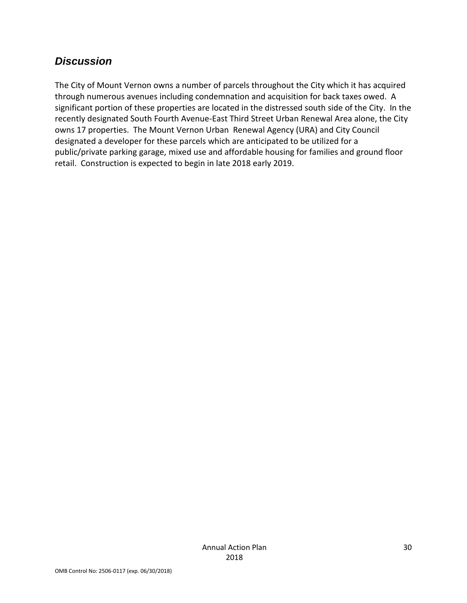### <span id="page-29-0"></span>*Discussion*

The City of Mount Vernon owns a number of parcels throughout the City which it has acquired through numerous avenues including condemnation and acquisition for back taxes owed. A significant portion of these properties are located in the distressed south side of the City. In the recently designated South Fourth Avenue-East Third Street Urban Renewal Area alone, the City owns 17 properties. The Mount Vernon Urban Renewal Agency (URA) and City Council designated a developer for these parcels which are anticipated to be utilized for a public/private parking garage, mixed use and affordable housing for families and ground floor retail. Construction is expected to begin in late 2018 early 2019.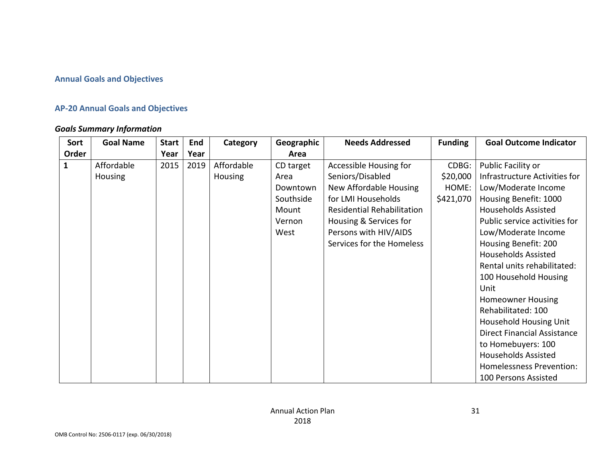#### **Annual Goals and Objectives**

#### **AP-20 Annual Goals and Objectives**

#### *Goals Summary Information*

<span id="page-30-2"></span><span id="page-30-1"></span><span id="page-30-0"></span>

| Sort         | <b>Goal Name</b> | <b>Start</b> | End  | Category   | Geographic | <b>Needs Addressed</b>     | <b>Funding</b> | <b>Goal Outcome Indicator</b>      |
|--------------|------------------|--------------|------|------------|------------|----------------------------|----------------|------------------------------------|
| Order        |                  | Year         | Year |            | Area       |                            |                |                                    |
| $\mathbf{1}$ | Affordable       | 2015         | 2019 | Affordable | CD target  | Accessible Housing for     | CDBG:          | Public Facility or                 |
|              | Housing          |              |      | Housing    | Area       | Seniors/Disabled           | \$20,000       | Infrastructure Activities for      |
|              |                  |              |      |            | Downtown   | New Affordable Housing     | HOME:          | Low/Moderate Income                |
|              |                  |              |      |            | Southside  | for LMI Households         | \$421,070      | Housing Benefit: 1000              |
|              |                  |              |      |            | Mount      | Residential Rehabilitation |                | <b>Households Assisted</b>         |
|              |                  |              |      |            | Vernon     | Housing & Services for     |                | Public service activities for      |
|              |                  |              |      |            | West       | Persons with HIV/AIDS      |                | Low/Moderate Income                |
|              |                  |              |      |            |            | Services for the Homeless  |                | Housing Benefit: 200               |
|              |                  |              |      |            |            |                            |                | <b>Households Assisted</b>         |
|              |                  |              |      |            |            |                            |                | Rental units rehabilitated:        |
|              |                  |              |      |            |            |                            |                | 100 Household Housing              |
|              |                  |              |      |            |            |                            |                | Unit                               |
|              |                  |              |      |            |            |                            |                | <b>Homeowner Housing</b>           |
|              |                  |              |      |            |            |                            |                | Rehabilitated: 100                 |
|              |                  |              |      |            |            |                            |                | Household Housing Unit             |
|              |                  |              |      |            |            |                            |                | <b>Direct Financial Assistance</b> |
|              |                  |              |      |            |            |                            |                | to Homebuyers: 100                 |
|              |                  |              |      |            |            |                            |                | <b>Households Assisted</b>         |
|              |                  |              |      |            |            |                            |                | <b>Homelessness Prevention:</b>    |
|              |                  |              |      |            |            |                            |                | 100 Persons Assisted               |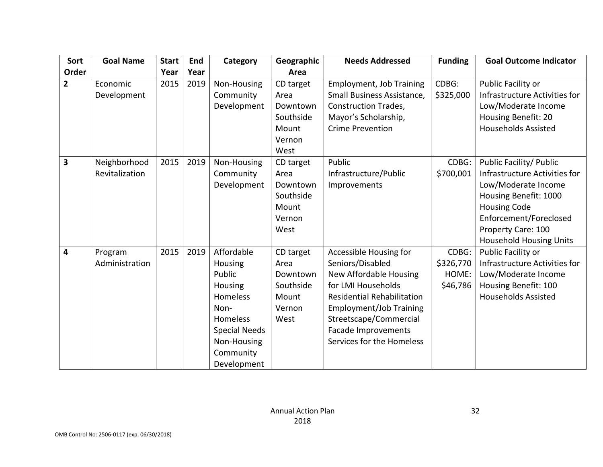| Sort           | <b>Goal Name</b>               | <b>Start</b> | End  | Category                                                                                                                                                    | Geographic                                                            | <b>Needs Addressed</b>                                                                                                                                                                                                                   | <b>Funding</b>                          | <b>Goal Outcome Indicator</b>                                                                                                                                                                                     |
|----------------|--------------------------------|--------------|------|-------------------------------------------------------------------------------------------------------------------------------------------------------------|-----------------------------------------------------------------------|------------------------------------------------------------------------------------------------------------------------------------------------------------------------------------------------------------------------------------------|-----------------------------------------|-------------------------------------------------------------------------------------------------------------------------------------------------------------------------------------------------------------------|
| Order          |                                | Year         | Year |                                                                                                                                                             | Area                                                                  |                                                                                                                                                                                                                                          |                                         |                                                                                                                                                                                                                   |
| $\overline{2}$ | Economic<br>Development        | 2015         | 2019 | Non-Housing<br>Community<br>Development                                                                                                                     | CD target<br>Area<br>Downtown<br>Southside<br>Mount<br>Vernon<br>West | <b>Employment, Job Training</b><br>Small Business Assistance,<br><b>Construction Trades,</b><br>Mayor's Scholarship,<br><b>Crime Prevention</b>                                                                                          | CDBG:<br>\$325,000                      | Public Facility or<br>Infrastructure Activities for<br>Low/Moderate Income<br>Housing Benefit: 20<br><b>Households Assisted</b>                                                                                   |
| 3              | Neighborhood<br>Revitalization | 2015         | 2019 | Non-Housing<br>Community<br>Development                                                                                                                     | CD target<br>Area<br>Downtown<br>Southside<br>Mount<br>Vernon<br>West | Public<br>Infrastructure/Public<br>Improvements                                                                                                                                                                                          | CDBG:<br>\$700,001                      | Public Facility/ Public<br>Infrastructure Activities for<br>Low/Moderate Income<br>Housing Benefit: 1000<br><b>Housing Code</b><br>Enforcement/Foreclosed<br>Property Care: 100<br><b>Household Housing Units</b> |
| 4              | Program<br>Administration      | 2015         | 2019 | Affordable<br>Housing<br>Public<br>Housing<br><b>Homeless</b><br>Non-<br><b>Homeless</b><br><b>Special Needs</b><br>Non-Housing<br>Community<br>Development | CD target<br>Area<br>Downtown<br>Southside<br>Mount<br>Vernon<br>West | Accessible Housing for<br>Seniors/Disabled<br>New Affordable Housing<br>for LMI Households<br><b>Residential Rehabilitation</b><br>Employment/Job Training<br>Streetscape/Commercial<br>Facade Improvements<br>Services for the Homeless | CDBG:<br>\$326,770<br>HOME:<br>\$46,786 | Public Facility or<br>Infrastructure Activities for<br>Low/Moderate Income<br>Housing Benefit: 100<br><b>Households Assisted</b>                                                                                  |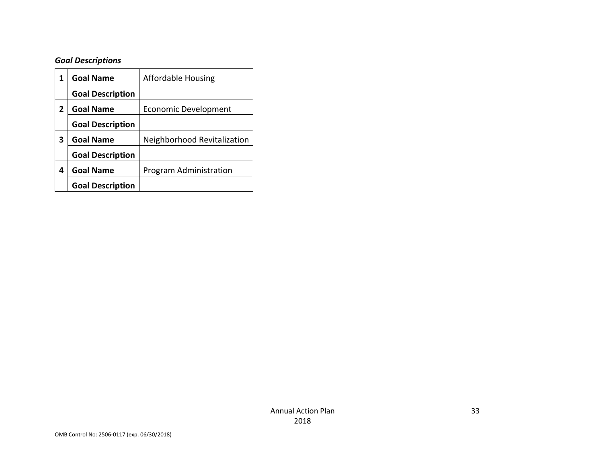## *Goal Descriptions*

<span id="page-32-0"></span>

| 1 | <b>Goal Name</b>        | <b>Affordable Housing</b>   |
|---|-------------------------|-----------------------------|
|   | <b>Goal Description</b> |                             |
| 2 | <b>Goal Name</b>        | <b>Economic Development</b> |
|   | <b>Goal Description</b> |                             |
| 3 | <b>Goal Name</b>        | Neighborhood Revitalization |
|   | <b>Goal Description</b> |                             |
| 4 | <b>Goal Name</b>        | Program Administration      |
|   | <b>Goal Description</b> |                             |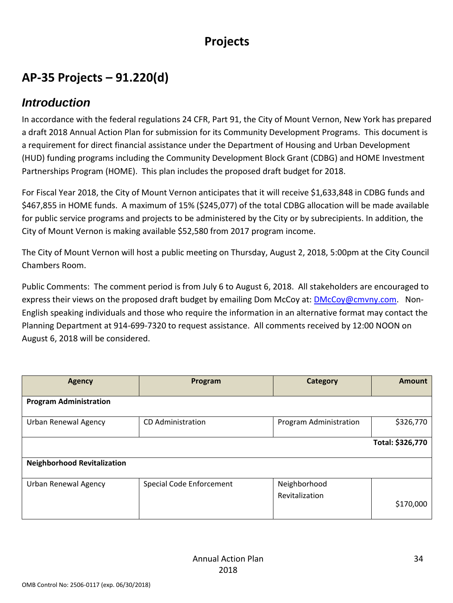## **Projects**

## **AP-35 Projects – 91.220(d)**

### <span id="page-33-0"></span>*Introduction*

<span id="page-33-2"></span><span id="page-33-1"></span>In accordance with the federal regulations 24 CFR, Part 91, the City of Mount Vernon, New York has prepared a draft 2018 Annual Action Plan for submission for its Community Development Programs. This document is a requirement for direct financial assistance under the Department of Housing and Urban Development (HUD) funding programs including the Community Development Block Grant (CDBG) and HOME Investment Partnerships Program (HOME). This plan includes the proposed draft budget for 2018.

For Fiscal Year 2018, the City of Mount Vernon anticipates that it will receive \$1,633,848 in CDBG funds and \$467,855 in HOME funds. A maximum of 15% (\$245,077) of the total CDBG allocation will be made available for public service programs and projects to be administered by the City or by subrecipients. In addition, the City of Mount Vernon is making available \$52,580 from 2017 program income.

The City of Mount Vernon will host a public meeting on Thursday, August 2, 2018, 5:00pm at the City Council Chambers Room.

Public Comments: The comment period is from July 6 to August 6, 2018. All stakeholders are encouraged to express their views on the proposed draft budget by emailing Dom McCoy at: [DMcCoy@cmvny.com.](mailto:DMcCoy@cmvny.com) Non-English speaking individuals and those who require the information in an alternative format may contact the Planning Department at 914-699-7320 to request assistance. All comments received by 12:00 NOON on August 6, 2018 will be considered.

| Agency                             | Program                  | Category               | <b>Amount</b>    |
|------------------------------------|--------------------------|------------------------|------------------|
| <b>Program Administration</b>      |                          |                        |                  |
| <b>Urban Renewal Agency</b>        | CD Administration        | Program Administration | \$326,770        |
|                                    |                          |                        | Total: \$326,770 |
| <b>Neighborhood Revitalization</b> |                          |                        |                  |
| <b>Urban Renewal Agency</b>        | Special Code Enforcement | Neighborhood           |                  |
|                                    |                          | Revitalization         | \$170,000        |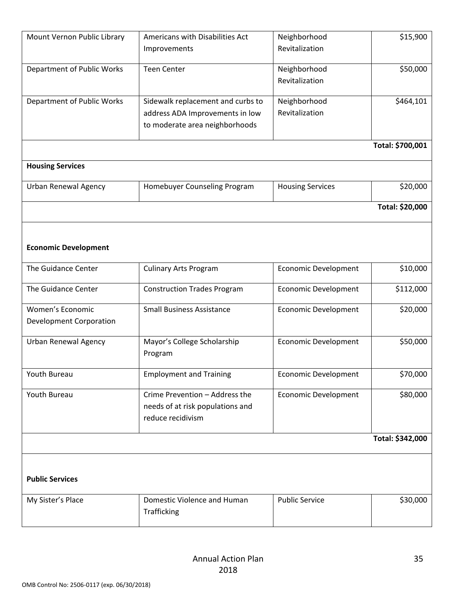| Mount Vernon Public Library                 | Americans with Disabilities Act<br>Improvements                                                        | Neighborhood<br>Revitalization | \$15,900         |
|---------------------------------------------|--------------------------------------------------------------------------------------------------------|--------------------------------|------------------|
| Department of Public Works                  | <b>Teen Center</b>                                                                                     | Neighborhood<br>Revitalization | \$50,000         |
| Department of Public Works                  | Sidewalk replacement and curbs to<br>address ADA Improvements in low<br>to moderate area neighborhoods | Neighborhood<br>Revitalization | \$464,101        |
|                                             |                                                                                                        |                                | Total: \$700,001 |
| <b>Housing Services</b>                     |                                                                                                        |                                |                  |
| <b>Urban Renewal Agency</b>                 | Homebuyer Counseling Program                                                                           | <b>Housing Services</b>        | \$20,000         |
|                                             |                                                                                                        |                                | Total: \$20,000  |
| <b>Economic Development</b>                 |                                                                                                        |                                |                  |
| The Guidance Center                         | <b>Culinary Arts Program</b>                                                                           | <b>Economic Development</b>    | \$10,000         |
| The Guidance Center                         | <b>Construction Trades Program</b>                                                                     | Economic Development           | \$112,000        |
| Women's Economic<br>Development Corporation | <b>Small Business Assistance</b>                                                                       | Economic Development           | \$20,000         |
| Urban Renewal Agency                        | Mayor's College Scholarship<br>Program                                                                 | Economic Development           | \$50,000         |
| Youth Bureau                                | <b>Employment and Training</b>                                                                         | Economic Development           | \$70,000         |
| Youth Bureau                                | Crime Prevention - Address the<br>needs of at risk populations and<br>reduce recidivism                | <b>Economic Development</b>    | \$80,000         |
|                                             |                                                                                                        |                                | Total: \$342,000 |
| <b>Public Services</b>                      |                                                                                                        |                                |                  |
| My Sister's Place                           | Domestic Violence and Human<br>Trafficking                                                             | <b>Public Service</b>          | \$30,000         |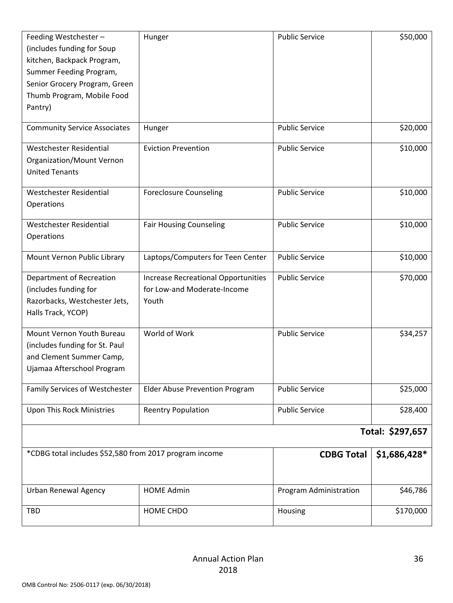| Feeding Westchester-<br>(includes funding for Soup<br>kitchen, Backpack Program,<br>Summer Feeding Program,<br>Senior Grocery Program, Green<br>Thumb Program, Mobile Food<br>Pantry) | Hunger                                                                             | <b>Public Service</b>  | \$50,000         |
|---------------------------------------------------------------------------------------------------------------------------------------------------------------------------------------|------------------------------------------------------------------------------------|------------------------|------------------|
| <b>Community Service Associates</b>                                                                                                                                                   | Hunger                                                                             | <b>Public Service</b>  | \$20,000         |
| Westchester Residential<br>Organization/Mount Vernon<br><b>United Tenants</b>                                                                                                         | <b>Eviction Prevention</b>                                                         | <b>Public Service</b>  | \$10,000         |
| Westchester Residential<br>Operations                                                                                                                                                 | <b>Foreclosure Counseling</b>                                                      | <b>Public Service</b>  | \$10,000         |
| Westchester Residential<br>Operations                                                                                                                                                 | <b>Fair Housing Counseling</b>                                                     | <b>Public Service</b>  | \$10,000         |
| Mount Vernon Public Library                                                                                                                                                           | Laptops/Computers for Teen Center                                                  | <b>Public Service</b>  | \$10,000         |
| Department of Recreation<br>(includes funding for<br>Razorbacks, Westchester Jets,<br>Halls Track, YCOP)                                                                              | <b>Increase Recreational Opportunities</b><br>for Low-and Moderate-Income<br>Youth | <b>Public Service</b>  | \$70,000         |
| Mount Vernon Youth Bureau<br>(includes funding for St. Paul<br>and Clement Summer Camp,<br>Ujamaa Afterschool Program                                                                 | World of Work                                                                      | <b>Public Service</b>  | \$34,257         |
| Family Services of Westchester                                                                                                                                                        | Elder Abuse Prevention Program                                                     | <b>Public Service</b>  | \$25,000         |
| Upon This Rock Ministries                                                                                                                                                             | <b>Reentry Population</b>                                                          | <b>Public Service</b>  | \$28,400         |
|                                                                                                                                                                                       |                                                                                    |                        | Total: \$297,657 |
| *CDBG total includes \$52,580 from 2017 program income                                                                                                                                |                                                                                    | <b>CDBG Total</b>      | \$1,686,428*     |
| <b>Urban Renewal Agency</b>                                                                                                                                                           | <b>HOME Admin</b>                                                                  | Program Administration | \$46,786         |
| TBD                                                                                                                                                                                   | HOME CHDO                                                                          | Housing                | \$170,000        |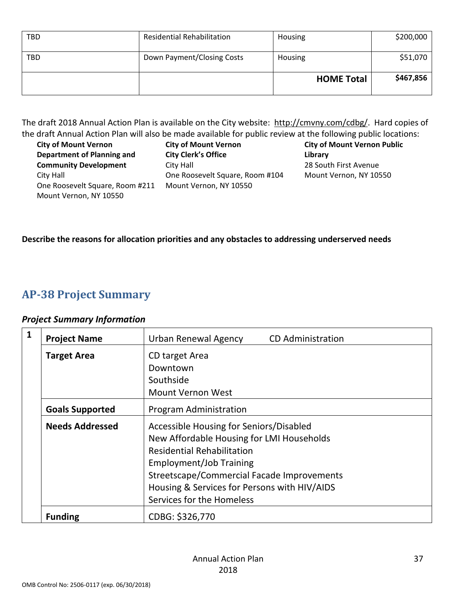| <b>TBD</b> | <b>Residential Rehabilitation</b> | Housing           | \$200,000 |
|------------|-----------------------------------|-------------------|-----------|
| <b>TBD</b> | Down Payment/Closing Costs        | Housing           | \$51,070  |
|            |                                   | <b>HOME Total</b> | \$467,856 |

The draft 2018 Annual Action Plan is available on the City website: [http://cmvny.com/cdbg/.](http://cmvny.com/cdbg/) Hard copies of the draft Annual Action Plan will also be made available for public review at the following public locations:

| <b>City of Mount Vernon</b>     | <b>City of Mount Vernon</b>     | <b>City of Mount Vernon Public</b> |
|---------------------------------|---------------------------------|------------------------------------|
| Department of Planning and      | <b>City Clerk's Office</b>      | Library                            |
| <b>Community Development</b>    | City Hall                       | 28 South First Avenue              |
| City Hall                       | One Roosevelt Square, Room #104 | Mount Vernon, NY 10550             |
| One Roosevelt Square, Room #211 | Mount Vernon, NY 10550          |                                    |
| Mount Vernon, NY 10550          |                                 |                                    |

#### **Describe the reasons for allocation priorities and any obstacles to addressing underserved needs**

### **AP-38 Project Summary**

#### *Project Summary Information*

<span id="page-36-1"></span><span id="page-36-0"></span>

| 1 | <b>Project Name</b>    | Urban Renewal Agency<br><b>CD</b> Administration |
|---|------------------------|--------------------------------------------------|
|   | <b>Target Area</b>     | CD target Area                                   |
|   |                        | Downtown                                         |
|   |                        | Southside                                        |
|   |                        | <b>Mount Vernon West</b>                         |
|   | <b>Goals Supported</b> | Program Administration                           |
|   | <b>Needs Addressed</b> | Accessible Housing for Seniors/Disabled          |
|   |                        | New Affordable Housing for LMI Households        |
|   |                        | <b>Residential Rehabilitation</b>                |
|   |                        | Employment/Job Training                          |
|   |                        | Streetscape/Commercial Facade Improvements       |
|   |                        | Housing & Services for Persons with HIV/AIDS     |
|   |                        | Services for the Homeless                        |
|   | <b>Funding</b>         | CDBG: \$326,770                                  |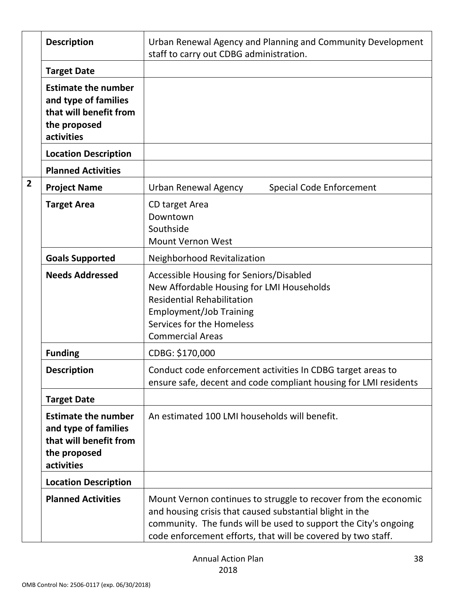|                | <b>Description</b>                                                                                         | Urban Renewal Agency and Planning and Community Development<br>staff to carry out CDBG administration.                                                                                                                                                         |
|----------------|------------------------------------------------------------------------------------------------------------|----------------------------------------------------------------------------------------------------------------------------------------------------------------------------------------------------------------------------------------------------------------|
|                | <b>Target Date</b>                                                                                         |                                                                                                                                                                                                                                                                |
|                | <b>Estimate the number</b><br>and type of families<br>that will benefit from<br>the proposed<br>activities |                                                                                                                                                                                                                                                                |
|                | <b>Location Description</b>                                                                                |                                                                                                                                                                                                                                                                |
|                | <b>Planned Activities</b>                                                                                  |                                                                                                                                                                                                                                                                |
| $\overline{2}$ | <b>Project Name</b>                                                                                        | Urban Renewal Agency<br>Special Code Enforcement                                                                                                                                                                                                               |
|                | <b>Target Area</b>                                                                                         | CD target Area<br>Downtown<br>Southside<br><b>Mount Vernon West</b>                                                                                                                                                                                            |
|                | <b>Goals Supported</b>                                                                                     | Neighborhood Revitalization                                                                                                                                                                                                                                    |
|                | <b>Needs Addressed</b>                                                                                     | Accessible Housing for Seniors/Disabled<br>New Affordable Housing for LMI Households<br><b>Residential Rehabilitation</b><br><b>Employment/Job Training</b><br>Services for the Homeless<br><b>Commercial Areas</b>                                            |
|                | <b>Funding</b>                                                                                             | CDBG: \$170,000                                                                                                                                                                                                                                                |
|                | <b>Description</b>                                                                                         | Conduct code enforcement activities In CDBG target areas to<br>ensure safe, decent and code compliant housing for LMI residents                                                                                                                                |
|                | <b>Target Date</b>                                                                                         |                                                                                                                                                                                                                                                                |
|                | <b>Estimate the number</b><br>and type of families<br>that will benefit from<br>the proposed<br>activities | An estimated 100 LMI households will benefit.                                                                                                                                                                                                                  |
|                | <b>Location Description</b>                                                                                |                                                                                                                                                                                                                                                                |
|                | <b>Planned Activities</b>                                                                                  | Mount Vernon continues to struggle to recover from the economic<br>and housing crisis that caused substantial blight in the<br>community. The funds will be used to support the City's ongoing<br>code enforcement efforts, that will be covered by two staff. |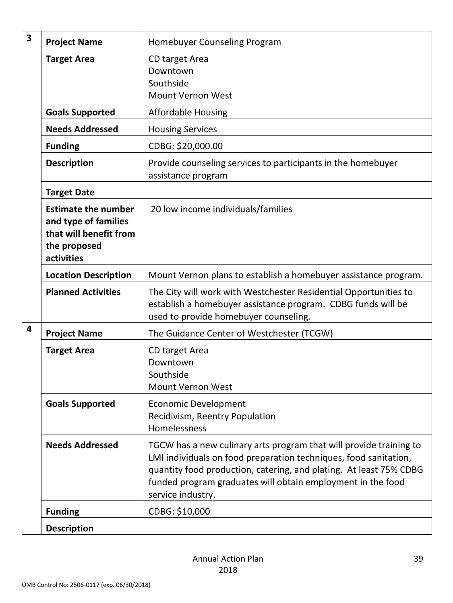| 3 | <b>Project Name</b>                                                                                        | Homebuyer Counseling Program                                                                                                                                                                                                                                                                     |
|---|------------------------------------------------------------------------------------------------------------|--------------------------------------------------------------------------------------------------------------------------------------------------------------------------------------------------------------------------------------------------------------------------------------------------|
|   | <b>Target Area</b>                                                                                         | CD target Area<br>Downtown<br>Southside<br><b>Mount Vernon West</b>                                                                                                                                                                                                                              |
|   | <b>Goals Supported</b>                                                                                     | <b>Affordable Housing</b>                                                                                                                                                                                                                                                                        |
|   | <b>Needs Addressed</b>                                                                                     | <b>Housing Services</b>                                                                                                                                                                                                                                                                          |
|   | <b>Funding</b>                                                                                             | CDBG: \$20,000.00                                                                                                                                                                                                                                                                                |
|   | <b>Description</b>                                                                                         | Provide counseling services to participants in the homebuyer<br>assistance program                                                                                                                                                                                                               |
|   | <b>Target Date</b>                                                                                         |                                                                                                                                                                                                                                                                                                  |
|   | <b>Estimate the number</b><br>and type of families<br>that will benefit from<br>the proposed<br>activities | 20 low income individuals/families                                                                                                                                                                                                                                                               |
|   | <b>Location Description</b>                                                                                | Mount Vernon plans to establish a homebuyer assistance program.                                                                                                                                                                                                                                  |
|   | <b>Planned Activities</b>                                                                                  | The City will work with Westchester Residential Opportunities to<br>establish a homebuyer assistance program. CDBG funds will be<br>used to provide homebuyer counseling.                                                                                                                        |
| 4 | <b>Project Name</b>                                                                                        | The Guidance Center of Westchester (TCGW)                                                                                                                                                                                                                                                        |
|   | <b>Target Area</b>                                                                                         | CD target Area<br>Downtown<br>Southside<br><b>Mount Vernon West</b>                                                                                                                                                                                                                              |
|   | <b>Goals Supported</b>                                                                                     | <b>Economic Development</b><br>Recidivism, Reentry Population<br>Homelessness                                                                                                                                                                                                                    |
|   | <b>Needs Addressed</b>                                                                                     | TGCW has a new culinary arts program that will provide training to<br>LMI individuals on food preparation techniques, food sanitation,<br>quantity food production, catering, and plating. At least 75% CDBG<br>funded program graduates will obtain employment in the food<br>service industry. |
|   | <b>Funding</b>                                                                                             | CDBG: \$10,000                                                                                                                                                                                                                                                                                   |
|   | <b>Description</b>                                                                                         |                                                                                                                                                                                                                                                                                                  |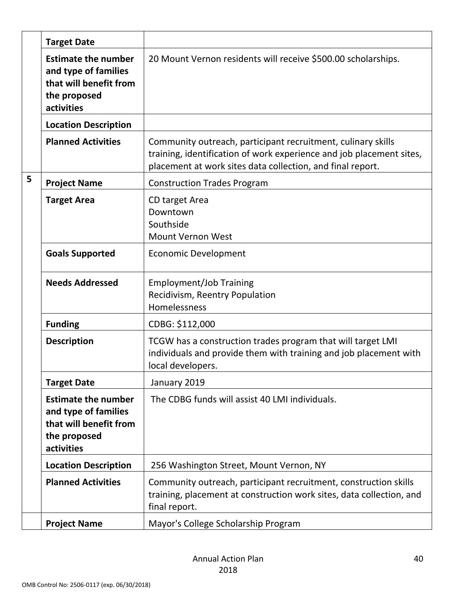|   | <b>Target Date</b>                                                                                         |                                                                                                                                                                                                    |
|---|------------------------------------------------------------------------------------------------------------|----------------------------------------------------------------------------------------------------------------------------------------------------------------------------------------------------|
|   | <b>Estimate the number</b><br>and type of families<br>that will benefit from<br>the proposed<br>activities | 20 Mount Vernon residents will receive \$500.00 scholarships.                                                                                                                                      |
|   | <b>Location Description</b>                                                                                |                                                                                                                                                                                                    |
|   | <b>Planned Activities</b>                                                                                  | Community outreach, participant recruitment, culinary skills<br>training, identification of work experience and job placement sites,<br>placement at work sites data collection, and final report. |
| 5 | <b>Project Name</b>                                                                                        | <b>Construction Trades Program</b>                                                                                                                                                                 |
|   | <b>Target Area</b>                                                                                         | CD target Area<br>Downtown<br>Southside<br><b>Mount Vernon West</b>                                                                                                                                |
|   | <b>Goals Supported</b>                                                                                     | <b>Economic Development</b>                                                                                                                                                                        |
|   | <b>Needs Addressed</b>                                                                                     | <b>Employment/Job Training</b><br>Recidivism, Reentry Population<br>Homelessness                                                                                                                   |
|   | <b>Funding</b>                                                                                             | CDBG: \$112,000                                                                                                                                                                                    |
|   | <b>Description</b>                                                                                         | TCGW has a construction trades program that will target LMI<br>individuals and provide them with training and job placement with<br>local developers.                                              |
|   | <b>Target Date</b>                                                                                         | January 2019                                                                                                                                                                                       |
|   | <b>Estimate the number</b><br>and type of families<br>that will benefit from<br>the proposed<br>activities | The CDBG funds will assist 40 LMI individuals.                                                                                                                                                     |
|   | <b>Location Description</b>                                                                                | 256 Washington Street, Mount Vernon, NY                                                                                                                                                            |
|   | <b>Planned Activities</b>                                                                                  | Community outreach, participant recruitment, construction skills<br>training, placement at construction work sites, data collection, and<br>final report.                                          |
|   | <b>Project Name</b>                                                                                        | Mayor's College Scholarship Program                                                                                                                                                                |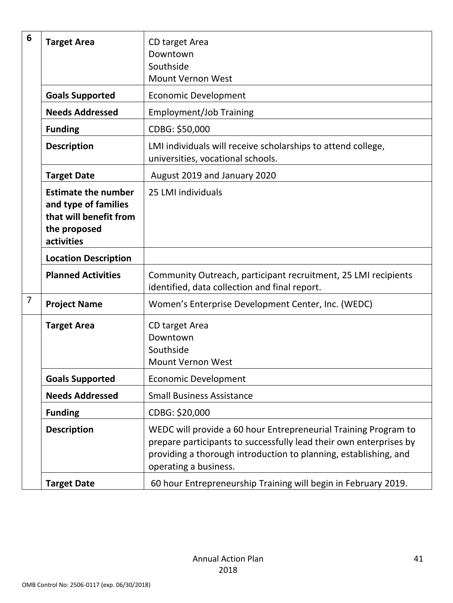| 6              | <b>Target Area</b>                                                                                         | CD target Area<br>Downtown<br>Southside<br>Mount Vernon West                                                                                                                                                                       |
|----------------|------------------------------------------------------------------------------------------------------------|------------------------------------------------------------------------------------------------------------------------------------------------------------------------------------------------------------------------------------|
|                | <b>Goals Supported</b>                                                                                     | <b>Economic Development</b>                                                                                                                                                                                                        |
|                | <b>Needs Addressed</b>                                                                                     | <b>Employment/Job Training</b>                                                                                                                                                                                                     |
|                | <b>Funding</b>                                                                                             | CDBG: \$50,000                                                                                                                                                                                                                     |
|                | <b>Description</b>                                                                                         | LMI individuals will receive scholarships to attend college,<br>universities, vocational schools.                                                                                                                                  |
|                | <b>Target Date</b>                                                                                         | August 2019 and January 2020                                                                                                                                                                                                       |
|                | <b>Estimate the number</b><br>and type of families<br>that will benefit from<br>the proposed<br>activities | 25 LMI individuals                                                                                                                                                                                                                 |
|                | <b>Location Description</b>                                                                                |                                                                                                                                                                                                                                    |
|                | <b>Planned Activities</b>                                                                                  | Community Outreach, participant recruitment, 25 LMI recipients<br>identified, data collection and final report.                                                                                                                    |
| $\overline{7}$ | <b>Project Name</b>                                                                                        | Women's Enterprise Development Center, Inc. (WEDC)                                                                                                                                                                                 |
|                | <b>Target Area</b>                                                                                         | CD target Area<br>Downtown<br>Southside<br><b>Mount Vernon West</b>                                                                                                                                                                |
|                | <b>Goals Supported</b>                                                                                     | <b>Economic Development</b>                                                                                                                                                                                                        |
|                | <b>Needs Addressed</b>                                                                                     | <b>Small Business Assistance</b>                                                                                                                                                                                                   |
|                | <b>Funding</b>                                                                                             | CDBG: \$20,000                                                                                                                                                                                                                     |
|                | <b>Description</b>                                                                                         | WEDC will provide a 60 hour Entrepreneurial Training Program to<br>prepare participants to successfully lead their own enterprises by<br>providing a thorough introduction to planning, establishing, and<br>operating a business. |
|                | <b>Target Date</b>                                                                                         | 60 hour Entrepreneurship Training will begin in February 2019.                                                                                                                                                                     |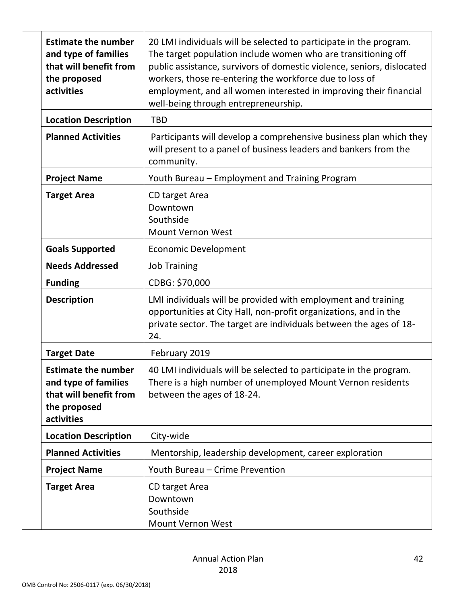| <b>Estimate the number</b><br>and type of families<br>that will benefit from<br>the proposed<br>activities | 20 LMI individuals will be selected to participate in the program.<br>The target population include women who are transitioning off<br>public assistance, survivors of domestic violence, seniors, dislocated<br>workers, those re-entering the workforce due to loss of<br>employment, and all women interested in improving their financial<br>well-being through entrepreneurship. |
|------------------------------------------------------------------------------------------------------------|---------------------------------------------------------------------------------------------------------------------------------------------------------------------------------------------------------------------------------------------------------------------------------------------------------------------------------------------------------------------------------------|
| <b>Location Description</b>                                                                                | <b>TBD</b>                                                                                                                                                                                                                                                                                                                                                                            |
| <b>Planned Activities</b>                                                                                  | Participants will develop a comprehensive business plan which they<br>will present to a panel of business leaders and bankers from the<br>community.                                                                                                                                                                                                                                  |
| <b>Project Name</b>                                                                                        | Youth Bureau - Employment and Training Program                                                                                                                                                                                                                                                                                                                                        |
| <b>Target Area</b>                                                                                         | CD target Area<br>Downtown<br>Southside<br><b>Mount Vernon West</b>                                                                                                                                                                                                                                                                                                                   |
| <b>Goals Supported</b>                                                                                     | <b>Economic Development</b>                                                                                                                                                                                                                                                                                                                                                           |
| <b>Needs Addressed</b>                                                                                     | <b>Job Training</b>                                                                                                                                                                                                                                                                                                                                                                   |
| <b>Funding</b>                                                                                             | CDBG: \$70,000                                                                                                                                                                                                                                                                                                                                                                        |
| <b>Description</b>                                                                                         | LMI individuals will be provided with employment and training<br>opportunities at City Hall, non-profit organizations, and in the<br>private sector. The target are individuals between the ages of 18-<br>24.                                                                                                                                                                        |
| <b>Target Date</b>                                                                                         | February 2019                                                                                                                                                                                                                                                                                                                                                                         |
| <b>Estimate the number</b><br>and type of families<br>that will benefit from<br>the proposed<br>activities | 40 LMI individuals will be selected to participate in the program.<br>There is a high number of unemployed Mount Vernon residents<br>between the ages of 18-24.                                                                                                                                                                                                                       |
| <b>Location Description</b>                                                                                | City-wide                                                                                                                                                                                                                                                                                                                                                                             |
| <b>Planned Activities</b>                                                                                  | Mentorship, leadership development, career exploration                                                                                                                                                                                                                                                                                                                                |
| <b>Project Name</b>                                                                                        | Youth Bureau - Crime Prevention                                                                                                                                                                                                                                                                                                                                                       |
| <b>Target Area</b>                                                                                         | CD target Area<br>Downtown<br>Southside<br>Mount Vernon West                                                                                                                                                                                                                                                                                                                          |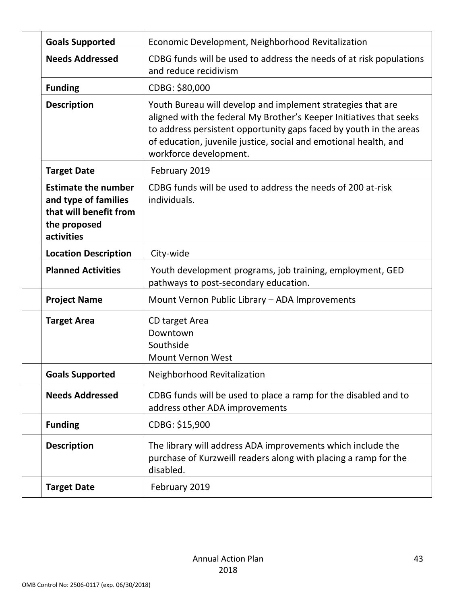| <b>Goals Supported</b>                                                                                     | Economic Development, Neighborhood Revitalization                                                                                                                                                                                                                                                      |
|------------------------------------------------------------------------------------------------------------|--------------------------------------------------------------------------------------------------------------------------------------------------------------------------------------------------------------------------------------------------------------------------------------------------------|
| <b>Needs Addressed</b>                                                                                     | CDBG funds will be used to address the needs of at risk populations<br>and reduce recidivism                                                                                                                                                                                                           |
| <b>Funding</b>                                                                                             | CDBG: \$80,000                                                                                                                                                                                                                                                                                         |
| <b>Description</b>                                                                                         | Youth Bureau will develop and implement strategies that are<br>aligned with the federal My Brother's Keeper Initiatives that seeks<br>to address persistent opportunity gaps faced by youth in the areas<br>of education, juvenile justice, social and emotional health, and<br>workforce development. |
| <b>Target Date</b>                                                                                         | February 2019                                                                                                                                                                                                                                                                                          |
| <b>Estimate the number</b><br>and type of families<br>that will benefit from<br>the proposed<br>activities | CDBG funds will be used to address the needs of 200 at-risk<br>individuals.                                                                                                                                                                                                                            |
| <b>Location Description</b>                                                                                | City-wide                                                                                                                                                                                                                                                                                              |
| <b>Planned Activities</b>                                                                                  | Youth development programs, job training, employment, GED<br>pathways to post-secondary education.                                                                                                                                                                                                     |
| <b>Project Name</b>                                                                                        | Mount Vernon Public Library - ADA Improvements                                                                                                                                                                                                                                                         |
| <b>Target Area</b>                                                                                         | CD target Area<br>Downtown<br>Southside<br><b>Mount Vernon West</b>                                                                                                                                                                                                                                    |
| <b>Goals Supported</b>                                                                                     | Neighborhood Revitalization                                                                                                                                                                                                                                                                            |
| <b>Needs Addressed</b>                                                                                     | CDBG funds will be used to place a ramp for the disabled and to<br>address other ADA improvements                                                                                                                                                                                                      |
| <b>Funding</b>                                                                                             | CDBG: \$15,900                                                                                                                                                                                                                                                                                         |
| <b>Description</b>                                                                                         | The library will address ADA improvements which include the<br>purchase of Kurzweill readers along with placing a ramp for the<br>disabled.                                                                                                                                                            |
| <b>Target Date</b>                                                                                         | February 2019                                                                                                                                                                                                                                                                                          |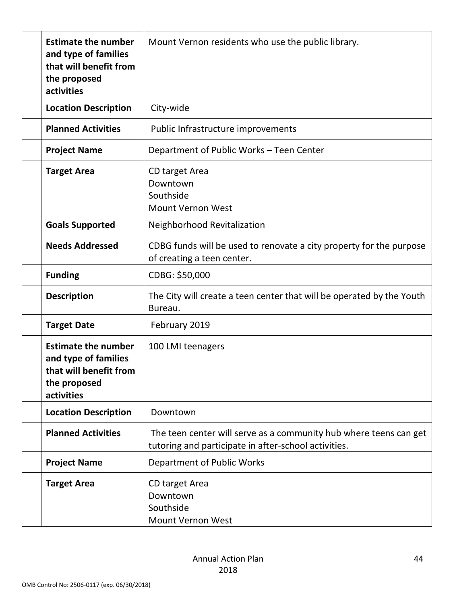| <b>Estimate the number</b><br>and type of families<br>that will benefit from<br>the proposed<br>activities | Mount Vernon residents who use the public library.                                                                        |
|------------------------------------------------------------------------------------------------------------|---------------------------------------------------------------------------------------------------------------------------|
| <b>Location Description</b>                                                                                | City-wide                                                                                                                 |
| <b>Planned Activities</b>                                                                                  | Public Infrastructure improvements                                                                                        |
| <b>Project Name</b>                                                                                        | Department of Public Works - Teen Center                                                                                  |
| <b>Target Area</b>                                                                                         | CD target Area<br>Downtown<br>Southside<br><b>Mount Vernon West</b>                                                       |
| <b>Goals Supported</b>                                                                                     | Neighborhood Revitalization                                                                                               |
| <b>Needs Addressed</b>                                                                                     | CDBG funds will be used to renovate a city property for the purpose<br>of creating a teen center.                         |
| <b>Funding</b>                                                                                             | CDBG: \$50,000                                                                                                            |
| <b>Description</b>                                                                                         | The City will create a teen center that will be operated by the Youth<br>Bureau.                                          |
| <b>Target Date</b>                                                                                         | February 2019                                                                                                             |
| <b>Estimate the number</b><br>and type of families<br>that will benefit from<br>the proposed<br>activities | 100 LMI teenagers                                                                                                         |
| <b>Location Description</b>                                                                                | Downtown                                                                                                                  |
| <b>Planned Activities</b>                                                                                  | The teen center will serve as a community hub where teens can get<br>tutoring and participate in after-school activities. |
| <b>Project Name</b>                                                                                        | Department of Public Works                                                                                                |
| <b>Target Area</b>                                                                                         | CD target Area<br>Downtown<br>Southside<br><b>Mount Vernon West</b>                                                       |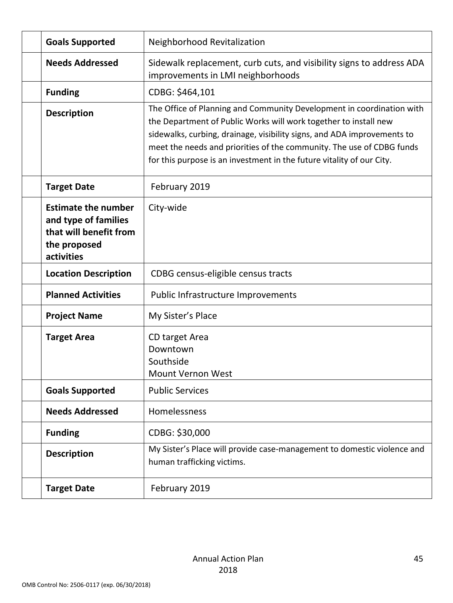| <b>Goals Supported</b>                                                                                     | Neighborhood Revitalization                                                                                                                                                                                                                                                                                                                                            |
|------------------------------------------------------------------------------------------------------------|------------------------------------------------------------------------------------------------------------------------------------------------------------------------------------------------------------------------------------------------------------------------------------------------------------------------------------------------------------------------|
| <b>Needs Addressed</b>                                                                                     | Sidewalk replacement, curb cuts, and visibility signs to address ADA<br>improvements in LMI neighborhoods                                                                                                                                                                                                                                                              |
| <b>Funding</b>                                                                                             | CDBG: \$464,101                                                                                                                                                                                                                                                                                                                                                        |
| <b>Description</b>                                                                                         | The Office of Planning and Community Development in coordination with<br>the Department of Public Works will work together to install new<br>sidewalks, curbing, drainage, visibility signs, and ADA improvements to<br>meet the needs and priorities of the community. The use of CDBG funds<br>for this purpose is an investment in the future vitality of our City. |
| <b>Target Date</b>                                                                                         | February 2019                                                                                                                                                                                                                                                                                                                                                          |
| <b>Estimate the number</b><br>and type of families<br>that will benefit from<br>the proposed<br>activities | City-wide                                                                                                                                                                                                                                                                                                                                                              |
| <b>Location Description</b>                                                                                | CDBG census-eligible census tracts                                                                                                                                                                                                                                                                                                                                     |
| <b>Planned Activities</b>                                                                                  | Public Infrastructure Improvements                                                                                                                                                                                                                                                                                                                                     |
| <b>Project Name</b>                                                                                        | My Sister's Place                                                                                                                                                                                                                                                                                                                                                      |
| <b>Target Area</b>                                                                                         | CD target Area<br>Downtown<br>Southside<br><b>Mount Vernon West</b>                                                                                                                                                                                                                                                                                                    |
| <b>Goals Supported</b>                                                                                     | <b>Public Services</b>                                                                                                                                                                                                                                                                                                                                                 |
| <b>Needs Addressed</b>                                                                                     | Homelessness                                                                                                                                                                                                                                                                                                                                                           |
| <b>Funding</b>                                                                                             | CDBG: \$30,000                                                                                                                                                                                                                                                                                                                                                         |
| <b>Description</b>                                                                                         | My Sister's Place will provide case-management to domestic violence and<br>human trafficking victims.                                                                                                                                                                                                                                                                  |
| <b>Target Date</b>                                                                                         | February 2019                                                                                                                                                                                                                                                                                                                                                          |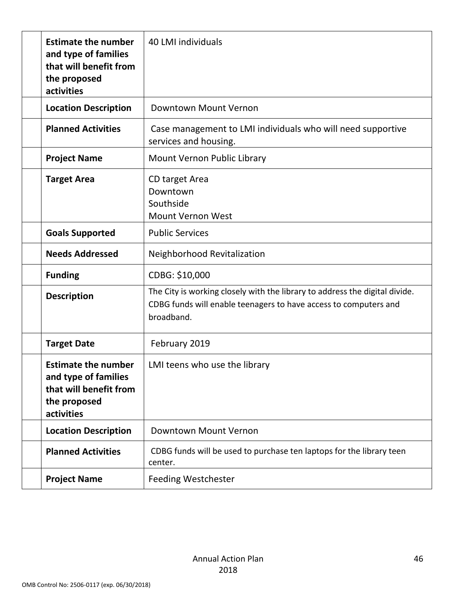| <b>Estimate the number</b><br>and type of families<br>that will benefit from<br>the proposed<br>activities | 40 LMI individuals                                                                                                                                            |
|------------------------------------------------------------------------------------------------------------|---------------------------------------------------------------------------------------------------------------------------------------------------------------|
| <b>Location Description</b>                                                                                | Downtown Mount Vernon                                                                                                                                         |
| <b>Planned Activities</b>                                                                                  | Case management to LMI individuals who will need supportive<br>services and housing.                                                                          |
| <b>Project Name</b>                                                                                        | Mount Vernon Public Library                                                                                                                                   |
| <b>Target Area</b>                                                                                         | CD target Area<br>Downtown<br>Southside<br><b>Mount Vernon West</b>                                                                                           |
| <b>Goals Supported</b>                                                                                     | <b>Public Services</b>                                                                                                                                        |
| <b>Needs Addressed</b>                                                                                     | Neighborhood Revitalization                                                                                                                                   |
| <b>Funding</b>                                                                                             | CDBG: \$10,000                                                                                                                                                |
| <b>Description</b>                                                                                         | The City is working closely with the library to address the digital divide.<br>CDBG funds will enable teenagers to have access to computers and<br>broadband. |
| <b>Target Date</b>                                                                                         | February 2019                                                                                                                                                 |
| <b>Estimate the number</b><br>and type of families<br>that will benefit from<br>the proposed<br>activities | LMI teens who use the library                                                                                                                                 |
| <b>Location Description</b>                                                                                | Downtown Mount Vernon                                                                                                                                         |
| <b>Planned Activities</b>                                                                                  | CDBG funds will be used to purchase ten laptops for the library teen<br>center.                                                                               |
| <b>Project Name</b>                                                                                        | <b>Feeding Westchester</b>                                                                                                                                    |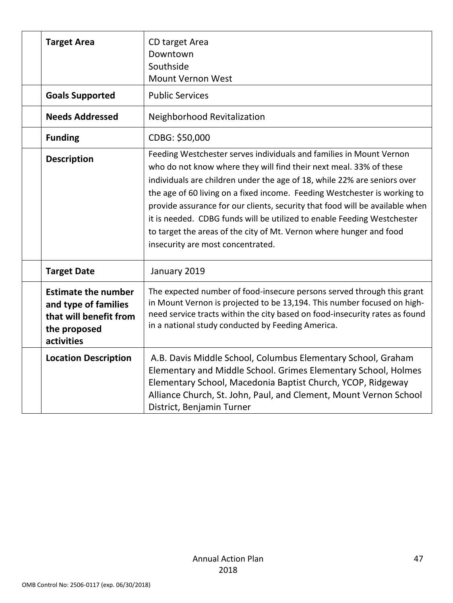| <b>Target Area</b>                                                                                         | CD target Area<br>Downtown<br>Southside<br><b>Mount Vernon West</b>                                                                                                                                                                                                                                                                                                                                                                                                                                                                                                       |
|------------------------------------------------------------------------------------------------------------|---------------------------------------------------------------------------------------------------------------------------------------------------------------------------------------------------------------------------------------------------------------------------------------------------------------------------------------------------------------------------------------------------------------------------------------------------------------------------------------------------------------------------------------------------------------------------|
| <b>Goals Supported</b>                                                                                     | <b>Public Services</b>                                                                                                                                                                                                                                                                                                                                                                                                                                                                                                                                                    |
| <b>Needs Addressed</b>                                                                                     | Neighborhood Revitalization                                                                                                                                                                                                                                                                                                                                                                                                                                                                                                                                               |
| <b>Funding</b>                                                                                             | CDBG: \$50,000                                                                                                                                                                                                                                                                                                                                                                                                                                                                                                                                                            |
| <b>Description</b>                                                                                         | Feeding Westchester serves individuals and families in Mount Vernon<br>who do not know where they will find their next meal. 33% of these<br>individuals are children under the age of 18, while 22% are seniors over<br>the age of 60 living on a fixed income. Feeding Westchester is working to<br>provide assurance for our clients, security that food will be available when<br>it is needed. CDBG funds will be utilized to enable Feeding Westchester<br>to target the areas of the city of Mt. Vernon where hunger and food<br>insecurity are most concentrated. |
| <b>Target Date</b>                                                                                         | January 2019                                                                                                                                                                                                                                                                                                                                                                                                                                                                                                                                                              |
| <b>Estimate the number</b><br>and type of families<br>that will benefit from<br>the proposed<br>activities | The expected number of food-insecure persons served through this grant<br>in Mount Vernon is projected to be 13,194. This number focused on high-<br>need service tracts within the city based on food-insecurity rates as found<br>in a national study conducted by Feeding America.                                                                                                                                                                                                                                                                                     |
| <b>Location Description</b>                                                                                | A.B. Davis Middle School, Columbus Elementary School, Graham<br>Elementary and Middle School. Grimes Elementary School, Holmes<br>Elementary School, Macedonia Baptist Church, YCOP, Ridgeway<br>Alliance Church, St. John, Paul, and Clement, Mount Vernon School<br>District, Benjamin Turner                                                                                                                                                                                                                                                                           |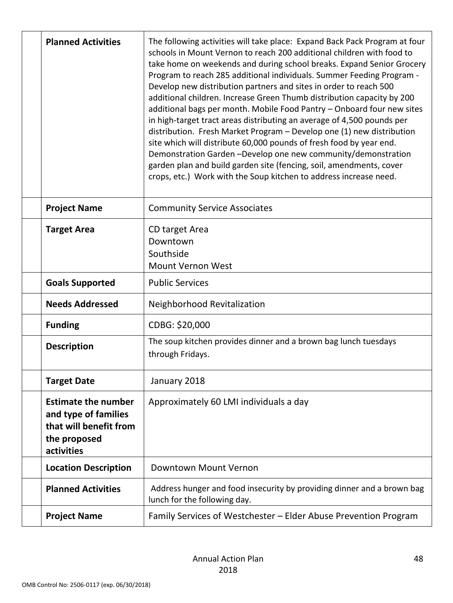| <b>Planned Activities</b>                                                                                  | The following activities will take place: Expand Back Pack Program at four<br>schools in Mount Vernon to reach 200 additional children with food to<br>take home on weekends and during school breaks. Expand Senior Grocery<br>Program to reach 285 additional individuals. Summer Feeding Program -<br>Develop new distribution partners and sites in order to reach 500<br>additional children. Increase Green Thumb distribution capacity by 200<br>additional bags per month. Mobile Food Pantry - Onboard four new sites<br>in high-target tract areas distributing an average of 4,500 pounds per<br>distribution. Fresh Market Program - Develop one (1) new distribution<br>site which will distribute 60,000 pounds of fresh food by year end.<br>Demonstration Garden-Develop one new community/demonstration<br>garden plan and build garden site (fencing, soil, amendments, cover<br>crops, etc.) Work with the Soup kitchen to address increase need. |
|------------------------------------------------------------------------------------------------------------|----------------------------------------------------------------------------------------------------------------------------------------------------------------------------------------------------------------------------------------------------------------------------------------------------------------------------------------------------------------------------------------------------------------------------------------------------------------------------------------------------------------------------------------------------------------------------------------------------------------------------------------------------------------------------------------------------------------------------------------------------------------------------------------------------------------------------------------------------------------------------------------------------------------------------------------------------------------------|
| <b>Project Name</b>                                                                                        | <b>Community Service Associates</b>                                                                                                                                                                                                                                                                                                                                                                                                                                                                                                                                                                                                                                                                                                                                                                                                                                                                                                                                  |
| <b>Target Area</b>                                                                                         | CD target Area<br>Downtown<br>Southside<br><b>Mount Vernon West</b>                                                                                                                                                                                                                                                                                                                                                                                                                                                                                                                                                                                                                                                                                                                                                                                                                                                                                                  |
| <b>Goals Supported</b>                                                                                     | <b>Public Services</b>                                                                                                                                                                                                                                                                                                                                                                                                                                                                                                                                                                                                                                                                                                                                                                                                                                                                                                                                               |
| <b>Needs Addressed</b>                                                                                     | Neighborhood Revitalization                                                                                                                                                                                                                                                                                                                                                                                                                                                                                                                                                                                                                                                                                                                                                                                                                                                                                                                                          |
| <b>Funding</b>                                                                                             | CDBG: \$20,000                                                                                                                                                                                                                                                                                                                                                                                                                                                                                                                                                                                                                                                                                                                                                                                                                                                                                                                                                       |
| <b>Description</b>                                                                                         | The soup kitchen provides dinner and a brown bag lunch tuesdays<br>through Fridays.                                                                                                                                                                                                                                                                                                                                                                                                                                                                                                                                                                                                                                                                                                                                                                                                                                                                                  |
| <b>Target Date</b>                                                                                         | January 2018                                                                                                                                                                                                                                                                                                                                                                                                                                                                                                                                                                                                                                                                                                                                                                                                                                                                                                                                                         |
| <b>Estimate the number</b><br>and type of families<br>that will benefit from<br>the proposed<br>activities | Approximately 60 LMI individuals a day                                                                                                                                                                                                                                                                                                                                                                                                                                                                                                                                                                                                                                                                                                                                                                                                                                                                                                                               |
| <b>Location Description</b>                                                                                | Downtown Mount Vernon                                                                                                                                                                                                                                                                                                                                                                                                                                                                                                                                                                                                                                                                                                                                                                                                                                                                                                                                                |
| <b>Planned Activities</b>                                                                                  | Address hunger and food insecurity by providing dinner and a brown bag<br>lunch for the following day.                                                                                                                                                                                                                                                                                                                                                                                                                                                                                                                                                                                                                                                                                                                                                                                                                                                               |
| <b>Project Name</b>                                                                                        | Family Services of Westchester - Elder Abuse Prevention Program                                                                                                                                                                                                                                                                                                                                                                                                                                                                                                                                                                                                                                                                                                                                                                                                                                                                                                      |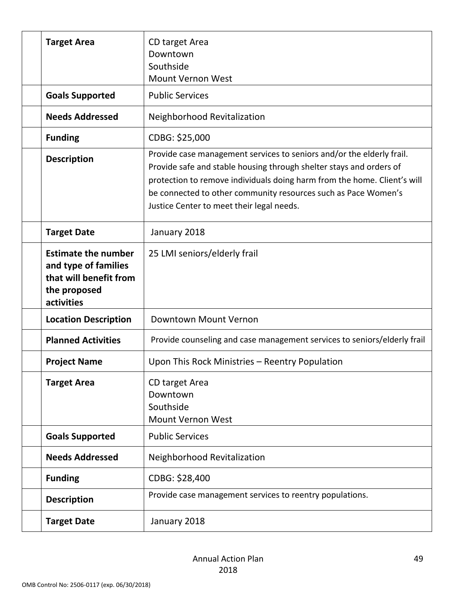| <b>Target Area</b>                                                                                         | CD target Area<br>Downtown<br>Southside                                                                                                                                                                                                                                                                                                 |
|------------------------------------------------------------------------------------------------------------|-----------------------------------------------------------------------------------------------------------------------------------------------------------------------------------------------------------------------------------------------------------------------------------------------------------------------------------------|
|                                                                                                            | <b>Mount Vernon West</b>                                                                                                                                                                                                                                                                                                                |
| <b>Goals Supported</b>                                                                                     | <b>Public Services</b>                                                                                                                                                                                                                                                                                                                  |
| <b>Needs Addressed</b>                                                                                     | Neighborhood Revitalization                                                                                                                                                                                                                                                                                                             |
| <b>Funding</b>                                                                                             | CDBG: \$25,000                                                                                                                                                                                                                                                                                                                          |
| <b>Description</b>                                                                                         | Provide case management services to seniors and/or the elderly frail.<br>Provide safe and stable housing through shelter stays and orders of<br>protection to remove individuals doing harm from the home. Client's will<br>be connected to other community resources such as Pace Women's<br>Justice Center to meet their legal needs. |
| <b>Target Date</b>                                                                                         | January 2018                                                                                                                                                                                                                                                                                                                            |
| <b>Estimate the number</b><br>and type of families<br>that will benefit from<br>the proposed<br>activities | 25 LMI seniors/elderly frail                                                                                                                                                                                                                                                                                                            |
| <b>Location Description</b>                                                                                | Downtown Mount Vernon                                                                                                                                                                                                                                                                                                                   |
| <b>Planned Activities</b>                                                                                  | Provide counseling and case management services to seniors/elderly frail                                                                                                                                                                                                                                                                |
| <b>Project Name</b>                                                                                        | Upon This Rock Ministries - Reentry Population                                                                                                                                                                                                                                                                                          |
| <b>Target Area</b>                                                                                         | CD target Area<br>Downtown<br>Southside<br>Mount Vernon West                                                                                                                                                                                                                                                                            |
| <b>Goals Supported</b>                                                                                     | <b>Public Services</b>                                                                                                                                                                                                                                                                                                                  |
| <b>Needs Addressed</b>                                                                                     | Neighborhood Revitalization                                                                                                                                                                                                                                                                                                             |
| <b>Funding</b>                                                                                             | CDBG: \$28,400                                                                                                                                                                                                                                                                                                                          |
| <b>Description</b>                                                                                         | Provide case management services to reentry populations.                                                                                                                                                                                                                                                                                |
| <b>Target Date</b>                                                                                         | January 2018                                                                                                                                                                                                                                                                                                                            |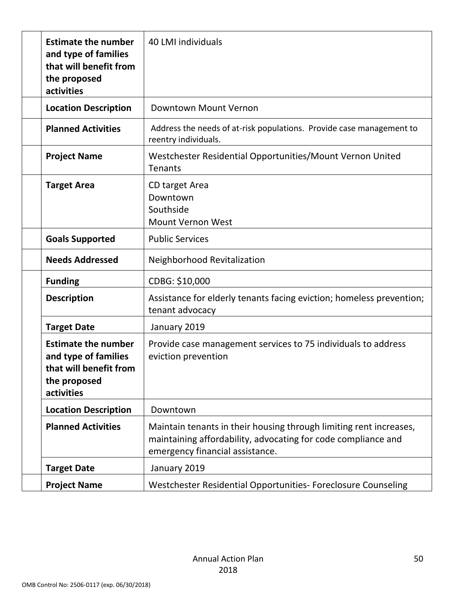| <b>Estimate the number</b><br>and type of families<br>that will benefit from<br>the proposed<br>activities | 40 LMI individuals                                                                                                                                                     |
|------------------------------------------------------------------------------------------------------------|------------------------------------------------------------------------------------------------------------------------------------------------------------------------|
| <b>Location Description</b>                                                                                | Downtown Mount Vernon                                                                                                                                                  |
| <b>Planned Activities</b>                                                                                  | Address the needs of at-risk populations. Provide case management to<br>reentry individuals.                                                                           |
| <b>Project Name</b>                                                                                        | Westchester Residential Opportunities/Mount Vernon United<br>Tenants                                                                                                   |
| <b>Target Area</b>                                                                                         | CD target Area<br>Downtown<br>Southside<br><b>Mount Vernon West</b>                                                                                                    |
| <b>Goals Supported</b>                                                                                     | <b>Public Services</b>                                                                                                                                                 |
| <b>Needs Addressed</b>                                                                                     | Neighborhood Revitalization                                                                                                                                            |
| <b>Funding</b>                                                                                             | CDBG: \$10,000                                                                                                                                                         |
| <b>Description</b>                                                                                         | Assistance for elderly tenants facing eviction; homeless prevention;<br>tenant advocacy                                                                                |
| <b>Target Date</b>                                                                                         | January 2019                                                                                                                                                           |
| <b>Estimate the number</b><br>and type of families<br>that will benefit from<br>the proposed<br>activities | Provide case management services to 75 individuals to address<br>eviction prevention                                                                                   |
| <b>Location Description</b>                                                                                | Downtown                                                                                                                                                               |
| <b>Planned Activities</b>                                                                                  | Maintain tenants in their housing through limiting rent increases,<br>maintaining affordability, advocating for code compliance and<br>emergency financial assistance. |
| <b>Target Date</b>                                                                                         | January 2019                                                                                                                                                           |
| <b>Project Name</b>                                                                                        | Westchester Residential Opportunities- Foreclosure Counseling                                                                                                          |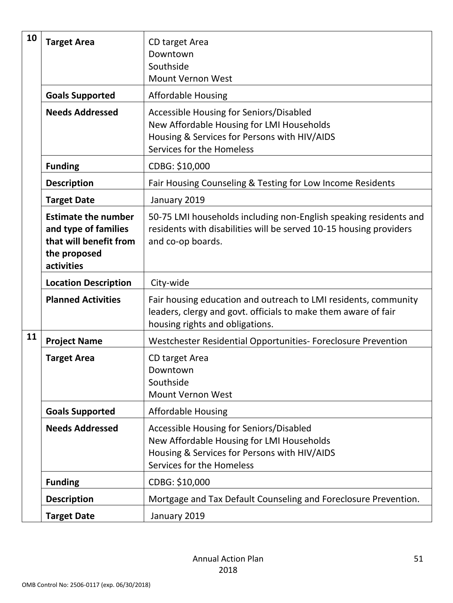| 10                                                  | <b>Target Area</b>                                                                                         | CD target Area<br>Downtown<br>Southside<br><b>Mount Vernon West</b>                                                                                                  |
|-----------------------------------------------------|------------------------------------------------------------------------------------------------------------|----------------------------------------------------------------------------------------------------------------------------------------------------------------------|
| <b>Goals Supported</b><br><b>Affordable Housing</b> |                                                                                                            |                                                                                                                                                                      |
|                                                     | <b>Needs Addressed</b>                                                                                     | Accessible Housing for Seniors/Disabled<br>New Affordable Housing for LMI Households<br>Housing & Services for Persons with HIV/AIDS<br>Services for the Homeless    |
| <b>Funding</b><br>CDBG: \$10,000                    |                                                                                                            |                                                                                                                                                                      |
|                                                     | <b>Description</b>                                                                                         | Fair Housing Counseling & Testing for Low Income Residents                                                                                                           |
|                                                     | <b>Target Date</b>                                                                                         | January 2019                                                                                                                                                         |
|                                                     | <b>Estimate the number</b><br>and type of families<br>that will benefit from<br>the proposed<br>activities | 50-75 LMI households including non-English speaking residents and<br>residents with disabilities will be served 10-15 housing providers<br>and co-op boards.         |
|                                                     | <b>Location Description</b>                                                                                | City-wide                                                                                                                                                            |
|                                                     | <b>Planned Activities</b>                                                                                  | Fair housing education and outreach to LMI residents, community<br>leaders, clergy and govt. officials to make them aware of fair<br>housing rights and obligations. |
| 11<br><b>Project Name</b>                           |                                                                                                            | Westchester Residential Opportunities- Foreclosure Prevention                                                                                                        |
|                                                     | <b>Target Area</b>                                                                                         | CD target Area<br>Downtown<br>Southside<br><b>Mount Vernon West</b>                                                                                                  |
|                                                     | <b>Goals Supported</b>                                                                                     | <b>Affordable Housing</b>                                                                                                                                            |
|                                                     | <b>Needs Addressed</b>                                                                                     | Accessible Housing for Seniors/Disabled<br>New Affordable Housing for LMI Households<br>Housing & Services for Persons with HIV/AIDS<br>Services for the Homeless    |
|                                                     | <b>Funding</b>                                                                                             | CDBG: \$10,000                                                                                                                                                       |
|                                                     | <b>Description</b>                                                                                         | Mortgage and Tax Default Counseling and Foreclosure Prevention.                                                                                                      |
|                                                     | <b>Target Date</b>                                                                                         | January 2019                                                                                                                                                         |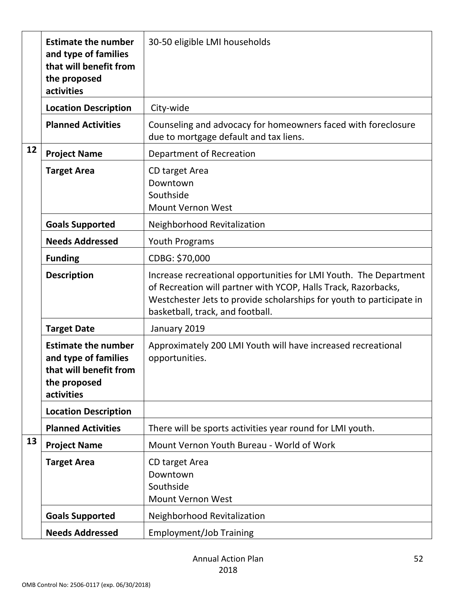| 30-50 eligible LMI households<br><b>Estimate the number</b><br>and type of families<br>that will benefit from<br>the proposed<br>activities |                                                                                                            |                                                                                                                                                                                                                                                 |  |
|---------------------------------------------------------------------------------------------------------------------------------------------|------------------------------------------------------------------------------------------------------------|-------------------------------------------------------------------------------------------------------------------------------------------------------------------------------------------------------------------------------------------------|--|
|                                                                                                                                             | <b>Location Description</b>                                                                                | City-wide                                                                                                                                                                                                                                       |  |
|                                                                                                                                             | <b>Planned Activities</b>                                                                                  | Counseling and advocacy for homeowners faced with foreclosure<br>due to mortgage default and tax liens.                                                                                                                                         |  |
| 12                                                                                                                                          | <b>Project Name</b>                                                                                        | Department of Recreation                                                                                                                                                                                                                        |  |
|                                                                                                                                             | <b>Target Area</b>                                                                                         | CD target Area<br>Downtown<br>Southside<br><b>Mount Vernon West</b>                                                                                                                                                                             |  |
|                                                                                                                                             | <b>Goals Supported</b>                                                                                     | Neighborhood Revitalization                                                                                                                                                                                                                     |  |
|                                                                                                                                             | <b>Needs Addressed</b>                                                                                     | Youth Programs                                                                                                                                                                                                                                  |  |
|                                                                                                                                             | <b>Funding</b>                                                                                             | CDBG: \$70,000                                                                                                                                                                                                                                  |  |
|                                                                                                                                             | <b>Description</b>                                                                                         | Increase recreational opportunities for LMI Youth. The Department<br>of Recreation will partner with YCOP, Halls Track, Razorbacks,<br>Westchester Jets to provide scholarships for youth to participate in<br>basketball, track, and football. |  |
|                                                                                                                                             | <b>Target Date</b>                                                                                         | January 2019                                                                                                                                                                                                                                    |  |
|                                                                                                                                             | <b>Estimate the number</b><br>and type of families<br>that will benefit from<br>the proposed<br>activities | Approximately 200 LMI Youth will have increased recreational<br>opportunities.                                                                                                                                                                  |  |
|                                                                                                                                             | <b>Location Description</b>                                                                                |                                                                                                                                                                                                                                                 |  |
|                                                                                                                                             | <b>Planned Activities</b>                                                                                  | There will be sports activities year round for LMI youth.                                                                                                                                                                                       |  |
| 13                                                                                                                                          | <b>Project Name</b>                                                                                        | Mount Vernon Youth Bureau - World of Work                                                                                                                                                                                                       |  |
|                                                                                                                                             | <b>Target Area</b>                                                                                         | CD target Area<br>Downtown<br>Southside<br>Mount Vernon West                                                                                                                                                                                    |  |
|                                                                                                                                             | <b>Goals Supported</b>                                                                                     | Neighborhood Revitalization                                                                                                                                                                                                                     |  |
|                                                                                                                                             | <b>Needs Addressed</b>                                                                                     | <b>Employment/Job Training</b>                                                                                                                                                                                                                  |  |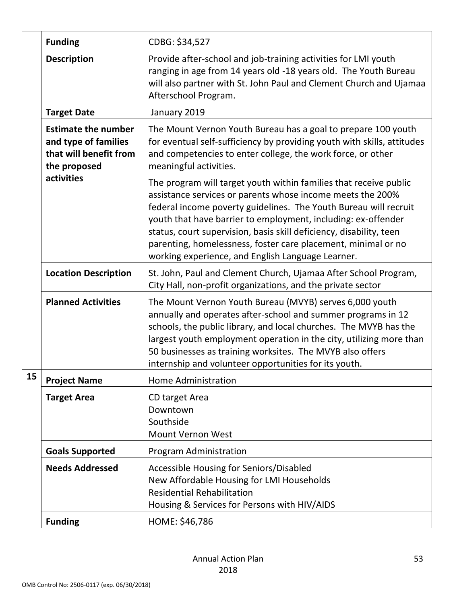|                             | <b>Funding</b>                                                                               | CDBG: \$34,527                                                                                                                                                                                                                                                                                                                                                                                                                                                    |
|-----------------------------|----------------------------------------------------------------------------------------------|-------------------------------------------------------------------------------------------------------------------------------------------------------------------------------------------------------------------------------------------------------------------------------------------------------------------------------------------------------------------------------------------------------------------------------------------------------------------|
|                             | <b>Description</b>                                                                           | Provide after-school and job-training activities for LMI youth<br>ranging in age from 14 years old -18 years old. The Youth Bureau<br>will also partner with St. John Paul and Clement Church and Ujamaa<br>Afterschool Program.                                                                                                                                                                                                                                  |
|                             | <b>Target Date</b>                                                                           | January 2019                                                                                                                                                                                                                                                                                                                                                                                                                                                      |
|                             | <b>Estimate the number</b><br>and type of families<br>that will benefit from<br>the proposed | The Mount Vernon Youth Bureau has a goal to prepare 100 youth<br>for eventual self-sufficiency by providing youth with skills, attitudes<br>and competencies to enter college, the work force, or other<br>meaningful activities.                                                                                                                                                                                                                                 |
|                             | activities                                                                                   | The program will target youth within families that receive public<br>assistance services or parents whose income meets the 200%<br>federal income poverty guidelines. The Youth Bureau will recruit<br>youth that have barrier to employment, including: ex-offender<br>status, court supervision, basis skill deficiency, disability, teen<br>parenting, homelessness, foster care placement, minimal or no<br>working experience, and English Language Learner. |
| <b>Location Description</b> |                                                                                              | St. John, Paul and Clement Church, Ujamaa After School Program,<br>City Hall, non-profit organizations, and the private sector                                                                                                                                                                                                                                                                                                                                    |
|                             | <b>Planned Activities</b>                                                                    | The Mount Vernon Youth Bureau (MVYB) serves 6,000 youth<br>annually and operates after-school and summer programs in 12<br>schools, the public library, and local churches. The MVYB has the<br>largest youth employment operation in the city, utilizing more than<br>50 businesses as training worksites. The MVYB also offers<br>internship and volunteer opportunities for its youth.                                                                         |
| 15                          | <b>Project Name</b>                                                                          | Home Administration                                                                                                                                                                                                                                                                                                                                                                                                                                               |
|                             | <b>Target Area</b>                                                                           | CD target Area<br>Downtown<br>Southside<br><b>Mount Vernon West</b>                                                                                                                                                                                                                                                                                                                                                                                               |
|                             | <b>Goals Supported</b>                                                                       | <b>Program Administration</b>                                                                                                                                                                                                                                                                                                                                                                                                                                     |
|                             | <b>Needs Addressed</b>                                                                       | Accessible Housing for Seniors/Disabled<br>New Affordable Housing for LMI Households<br><b>Residential Rehabilitation</b><br>Housing & Services for Persons with HIV/AIDS                                                                                                                                                                                                                                                                                         |
|                             | <b>Funding</b>                                                                               | HOME: \$46,786                                                                                                                                                                                                                                                                                                                                                                                                                                                    |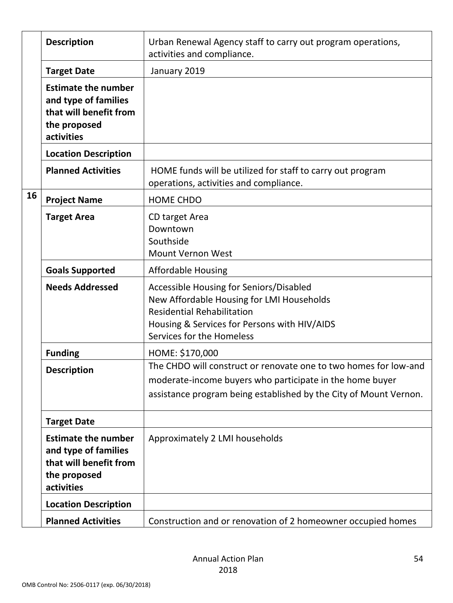|    | <b>Description</b>                                                                                         | Urban Renewal Agency staff to carry out program operations,<br>activities and compliance.                                                                                                              |
|----|------------------------------------------------------------------------------------------------------------|--------------------------------------------------------------------------------------------------------------------------------------------------------------------------------------------------------|
|    | <b>Target Date</b>                                                                                         | January 2019                                                                                                                                                                                           |
|    | <b>Estimate the number</b><br>and type of families<br>that will benefit from<br>the proposed<br>activities |                                                                                                                                                                                                        |
|    | <b>Location Description</b>                                                                                |                                                                                                                                                                                                        |
|    | <b>Planned Activities</b>                                                                                  | HOME funds will be utilized for staff to carry out program<br>operations, activities and compliance.                                                                                                   |
| 16 | <b>Project Name</b>                                                                                        | <b>HOME CHDO</b>                                                                                                                                                                                       |
|    | <b>Target Area</b>                                                                                         | CD target Area<br>Downtown<br>Southside<br><b>Mount Vernon West</b>                                                                                                                                    |
|    | <b>Goals Supported</b>                                                                                     | <b>Affordable Housing</b>                                                                                                                                                                              |
|    | <b>Needs Addressed</b>                                                                                     | Accessible Housing for Seniors/Disabled<br>New Affordable Housing for LMI Households<br><b>Residential Rehabilitation</b><br>Housing & Services for Persons with HIV/AIDS<br>Services for the Homeless |
|    | <b>Funding</b>                                                                                             | HOME: \$170,000                                                                                                                                                                                        |
|    | <b>Description</b>                                                                                         | The CHDO will construct or renovate one to two homes for low-and<br>moderate-income buyers who participate in the home buyer<br>assistance program being established by the City of Mount Vernon.      |
|    | <b>Target Date</b>                                                                                         |                                                                                                                                                                                                        |
|    | <b>Estimate the number</b><br>and type of families<br>that will benefit from<br>the proposed<br>activities | Approximately 2 LMI households                                                                                                                                                                         |
|    | <b>Location Description</b>                                                                                |                                                                                                                                                                                                        |
|    | <b>Planned Activities</b>                                                                                  | Construction and or renovation of 2 homeowner occupied homes                                                                                                                                           |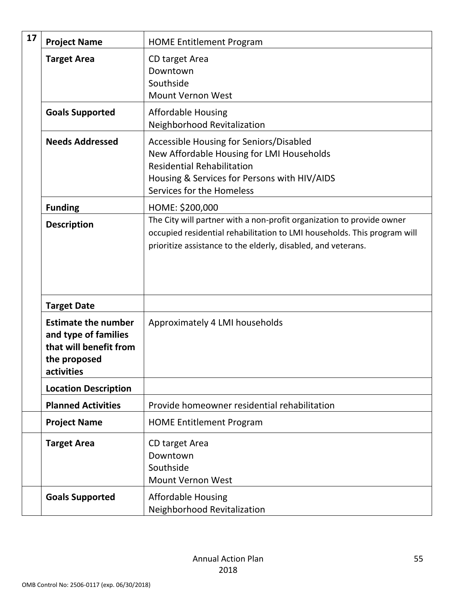| 17 | <b>Project Name</b>                                                                                        | <b>HOME Entitlement Program</b>                                                                                                                                                                                    |
|----|------------------------------------------------------------------------------------------------------------|--------------------------------------------------------------------------------------------------------------------------------------------------------------------------------------------------------------------|
|    | <b>Target Area</b>                                                                                         | CD target Area<br>Downtown<br>Southside<br><b>Mount Vernon West</b>                                                                                                                                                |
|    | <b>Goals Supported</b>                                                                                     | <b>Affordable Housing</b><br>Neighborhood Revitalization                                                                                                                                                           |
|    | <b>Needs Addressed</b>                                                                                     | Accessible Housing for Seniors/Disabled<br>New Affordable Housing for LMI Households<br><b>Residential Rehabilitation</b><br>Housing & Services for Persons with HIV/AIDS<br>Services for the Homeless             |
|    | <b>Funding</b>                                                                                             | HOME: \$200,000                                                                                                                                                                                                    |
|    | <b>Description</b>                                                                                         | The City will partner with a non-profit organization to provide owner<br>occupied residential rehabilitation to LMI households. This program will<br>prioritize assistance to the elderly, disabled, and veterans. |
|    | <b>Target Date</b>                                                                                         |                                                                                                                                                                                                                    |
|    | <b>Estimate the number</b><br>and type of families<br>that will benefit from<br>the proposed<br>activities | Approximately 4 LMI households                                                                                                                                                                                     |
|    | <b>Location Description</b>                                                                                |                                                                                                                                                                                                                    |
|    | <b>Planned Activities</b>                                                                                  | Provide homeowner residential rehabilitation                                                                                                                                                                       |
|    | <b>Project Name</b>                                                                                        | <b>HOME Entitlement Program</b>                                                                                                                                                                                    |
|    | <b>Target Area</b>                                                                                         | CD target Area<br>Downtown<br>Southside<br>Mount Vernon West                                                                                                                                                       |
|    | <b>Goals Supported</b>                                                                                     | <b>Affordable Housing</b><br>Neighborhood Revitalization                                                                                                                                                           |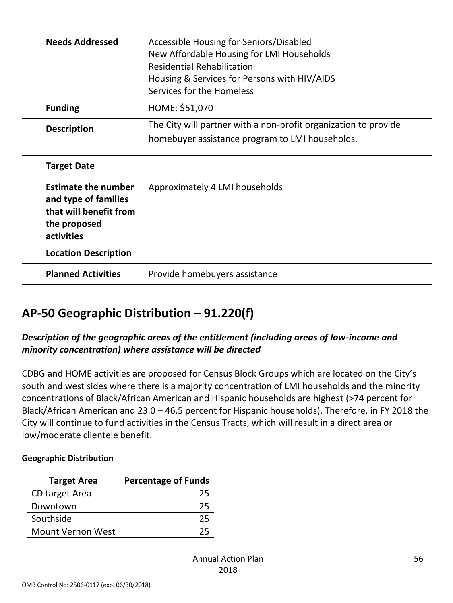| <b>Needs Addressed</b>                                                                                     | Accessible Housing for Seniors/Disabled<br>New Affordable Housing for LMI Households<br><b>Residential Rehabilitation</b><br>Housing & Services for Persons with HIV/AIDS<br>Services for the Homeless |
|------------------------------------------------------------------------------------------------------------|--------------------------------------------------------------------------------------------------------------------------------------------------------------------------------------------------------|
| <b>Funding</b>                                                                                             | HOME: \$51,070                                                                                                                                                                                         |
| <b>Description</b>                                                                                         | The City will partner with a non-profit organization to provide<br>homebuyer assistance program to LMI households.                                                                                     |
| <b>Target Date</b>                                                                                         |                                                                                                                                                                                                        |
| <b>Estimate the number</b><br>and type of families<br>that will benefit from<br>the proposed<br>activities | Approximately 4 LMI households                                                                                                                                                                         |
| <b>Location Description</b>                                                                                |                                                                                                                                                                                                        |
| <b>Planned Activities</b>                                                                                  | Provide homebuyers assistance                                                                                                                                                                          |

## **AP-50 Geographic Distribution – 91.220(f)**

#### <span id="page-55-0"></span>*Description of the geographic areas of the entitlement (including areas of low-income and minority concentration) where assistance will be directed*

<span id="page-55-1"></span>CDBG and HOME activities are proposed for Census Block Groups which are located on the City's south and west sides where there is a majority concentration of LMI households and the minority concentrations of Black/African American and Hispanic households are highest (>74 percent for Black/African American and 23.0 – 46.5 percent for Hispanic households). Therefore, in FY 2018 the City will continue to fund activities in the Census Tracts, which will result in a direct area or low/moderate clientele benefit.

#### **Geographic Distribution**

| <b>Target Area</b>       | <b>Percentage of Funds</b> |
|--------------------------|----------------------------|
| CD target Area           |                            |
| Downtown                 |                            |
| Southside                |                            |
| <b>Mount Vernon West</b> |                            |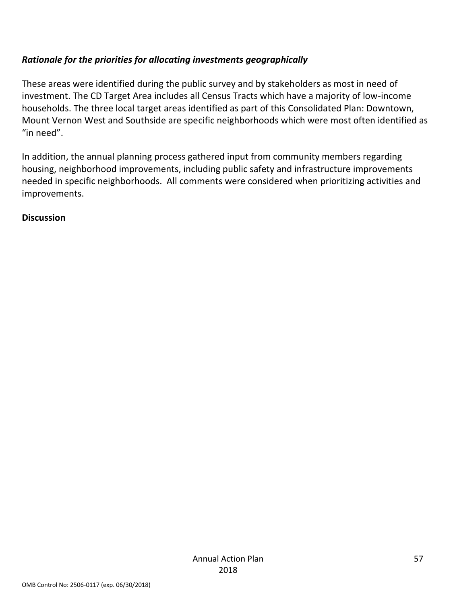#### *Rationale for the priorities for allocating investments geographically*

<span id="page-56-0"></span>These areas were identified during the public survey and by stakeholders as most in need of investment. The CD Target Area includes all Census Tracts which have a majority of low-income households. The three local target areas identified as part of this Consolidated Plan: Downtown, Mount Vernon West and Southside are specific neighborhoods which were most often identified as "in need".

In addition, the annual planning process gathered input from community members regarding housing, neighborhood improvements, including public safety and infrastructure improvements needed in specific neighborhoods. All comments were considered when prioritizing activities and improvements.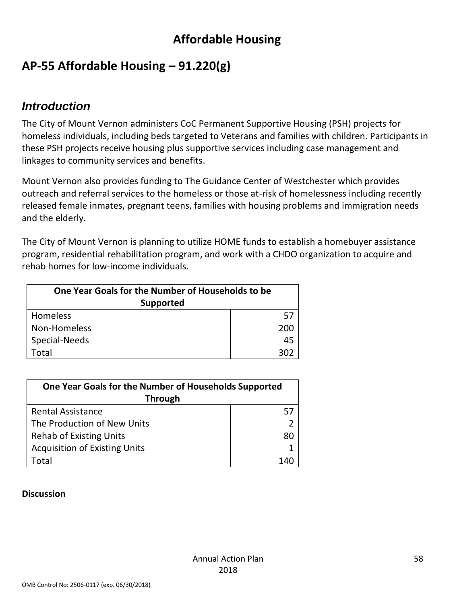## **Affordable Housing**

## **AP-55 Affordable Housing – 91.220(g)**

### <span id="page-57-1"></span><span id="page-57-0"></span>*Introduction*

The City of Mount Vernon administers CoC Permanent Supportive Housing (PSH) projects for homeless individuals, including beds targeted to Veterans and families with children. Participants in these PSH projects receive housing plus supportive services including case management and linkages to community services and benefits.

<span id="page-57-2"></span>Mount Vernon also provides funding to The Guidance Center of Westchester which provides outreach and referral services to the homeless or those at-risk of homelessness including recently released female inmates, pregnant teens, families with housing problems and immigration needs and the elderly.

The City of Mount Vernon is planning to utilize HOME funds to establish a homebuyer assistance program, residential rehabilitation program, and work with a CHDO organization to acquire and rehab homes for low-income individuals.

| One Year Goals for the Number of Households to be |     |  |
|---------------------------------------------------|-----|--|
| <b>Supported</b>                                  |     |  |
| <b>Homeless</b>                                   | 57  |  |
| Non-Homeless                                      | 200 |  |
| Special-Needs                                     | 45  |  |
| otal.                                             |     |  |

| One Year Goals for the Number of Households Supported |    |  |
|-------------------------------------------------------|----|--|
| <b>Through</b>                                        |    |  |
| <b>Rental Assistance</b>                              |    |  |
| The Production of New Units                           |    |  |
| <b>Rehab of Existing Units</b>                        | 80 |  |
| <b>Acquisition of Existing Units</b>                  |    |  |
| Total                                                 |    |  |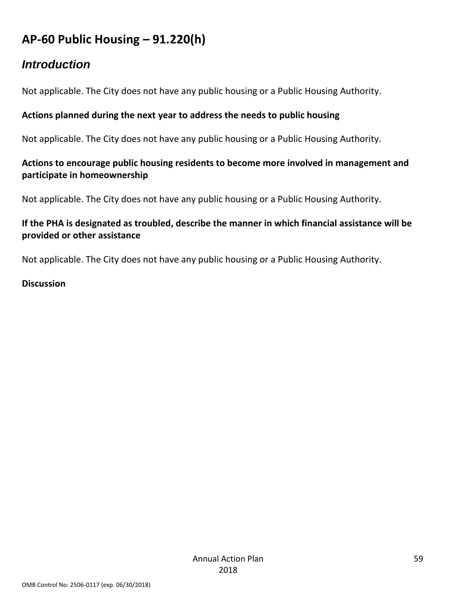## **AP-60 Public Housing** *–* **91.220(h)**

### *Introduction*

<span id="page-58-0"></span>Not applicable. The City does not have any public housing or a Public Housing Authority.

#### <span id="page-58-1"></span>**Actions planned during the next year to address the needs to public housing**

Not applicable. The City does not have any public housing or a Public Housing Authority.

#### **Actions to encourage public housing residents to become more involved in management and participate in homeownership**

Not applicable. The City does not have any public housing or a Public Housing Authority.

#### **If the PHA is designated as troubled, describe the manner in which financial assistance will be provided or other assistance**

Not applicable. The City does not have any public housing or a Public Housing Authority.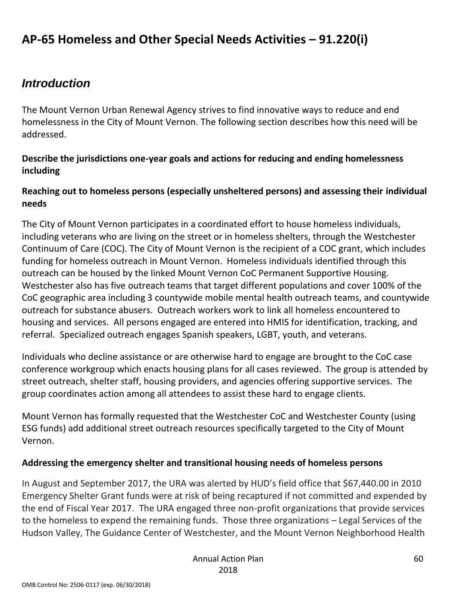## **AP-65 Homeless and Other Special Needs Activities – 91.220(i)**

### *Introduction*

<span id="page-59-0"></span>The Mount Vernon Urban Renewal Agency strives to find innovative ways to reduce and end homelessness in the City of Mount Vernon. The following section describes how this need will be addressed.

#### <span id="page-59-1"></span>**Describe the jurisdictions one-year goals and actions for reducing and ending homelessness including**

#### **Reaching out to homeless persons (especially unsheltered persons) and assessing their individual needs**

The City of Mount Vernon participates in a coordinated effort to house homeless individuals, including veterans who are living on the street or in homeless shelters, through the Westchester Continuum of Care (COC). The City of Mount Vernon is the recipient of a COC grant, which includes funding for homeless outreach in Mount Vernon. Homeless individuals identified through this outreach can be housed by the linked Mount Vernon CoC Permanent Supportive Housing. Westchester also has five outreach teams that target different populations and cover 100% of the CoC geographic area including 3 countywide mobile mental health outreach teams, and countywide outreach for substance abusers. Outreach workers work to link all homeless encountered to housing and services. All persons engaged are entered into HMIS for identification, tracking, and referral. Specialized outreach engages Spanish speakers, LGBT, youth, and veterans.

Individuals who decline assistance or are otherwise hard to engage are brought to the CoC case conference workgroup which enacts housing plans for all cases reviewed. The group is attended by street outreach, shelter staff, housing providers, and agencies offering supportive services. The group coordinates action among all attendees to assist these hard to engage clients.

Mount Vernon has formally requested that the Westchester CoC and Westchester County (using ESG funds) add additional street outreach resources specifically targeted to the City of Mount Vernon.

#### **Addressing the emergency shelter and transitional housing needs of homeless persons**

In August and September 2017, the URA was alerted by HUD's field office that \$67,440.00 in 2010 Emergency Shelter Grant funds were at risk of being recaptured if not committed and expended by the end of Fiscal Year 2017. The URA engaged three non-profit organizations that provide services to the homeless to expend the remaining funds. Those three organizations – Legal Services of the Hudson Valley, The Guidance Center of Westchester, and the Mount Vernon Neighborhood Health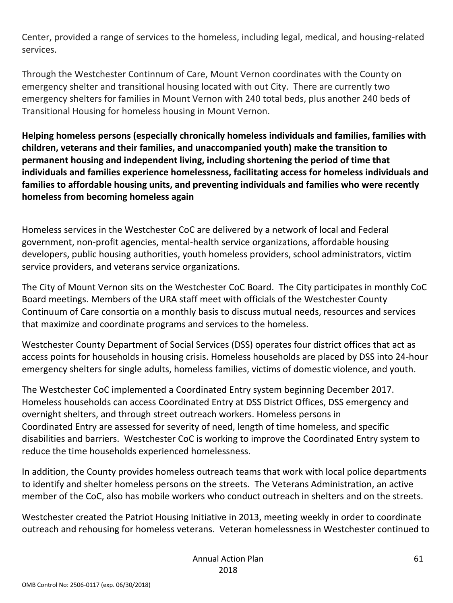Center, provided a range of services to the homeless, including legal, medical, and housing-related services.

Through the Westchester Continnum of Care, Mount Vernon coordinates with the County on emergency shelter and transitional housing located with out City. There are currently two emergency shelters for families in Mount Vernon with 240 total beds, plus another 240 beds of Transitional Housing for homeless housing in Mount Vernon.

**Helping homeless persons (especially chronically homeless individuals and families, families with children, veterans and their families, and unaccompanied youth) make the transition to permanent housing and independent living, including shortening the period of time that individuals and families experience homelessness, facilitating access for homeless individuals and families to affordable housing units, and preventing individuals and families who were recently homeless from becoming homeless again**

Homeless services in the Westchester CoC are delivered by a network of local and Federal government, non-profit agencies, mental-health service organizations, affordable housing developers, public housing authorities, youth homeless providers, school administrators, victim service providers, and veterans service organizations.

The City of Mount Vernon sits on the Westchester CoC Board. The City participates in monthly CoC Board meetings. Members of the URA staff meet with officials of the Westchester County Continuum of Care consortia on a monthly basis to discuss mutual needs, resources and services that maximize and coordinate programs and services to the homeless.

Westchester County Department of Social Services (DSS) operates four district offices that act as access points for households in housing crisis. Homeless households are placed by DSS into 24-hour emergency shelters for single adults, homeless families, victims of domestic violence, and youth.

The Westchester CoC implemented a Coordinated Entry system beginning December 2017. Homeless households can access Coordinated Entry at DSS District Offices, DSS emergency and overnight shelters, and through street outreach workers. Homeless persons in Coordinated Entry are assessed for severity of need, length of time homeless, and specific disabilities and barriers. Westchester CoC is working to improve the Coordinated Entry system to reduce the time households experienced homelessness.

In addition, the County provides homeless outreach teams that work with local police departments to identify and shelter homeless persons on the streets. The Veterans Administration, an active member of the CoC, also has mobile workers who conduct outreach in shelters and on the streets.

Westchester created the Patriot Housing Initiative in 2013, meeting weekly in order to coordinate outreach and rehousing for homeless veterans. Veteran homelessness in Westchester continued to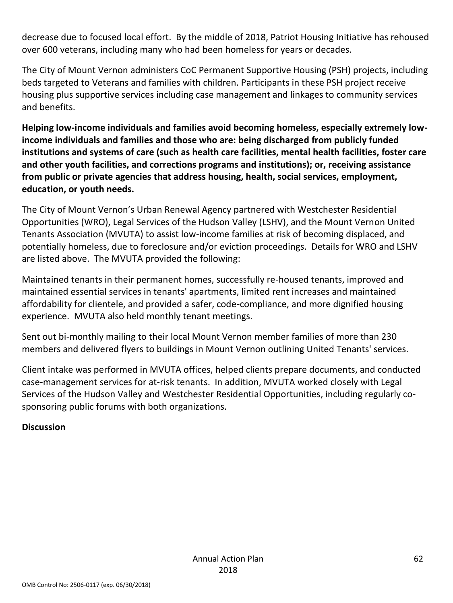decrease due to focused local effort. By the middle of 2018, Patriot Housing Initiative has rehoused over 600 veterans, including many who had been homeless for years or decades.

The City of Mount Vernon administers CoC Permanent Supportive Housing (PSH) projects, including beds targeted to Veterans and families with children. Participants in these PSH project receive housing plus supportive services including case management and linkages to community services and benefits.

**Helping low-income individuals and families avoid becoming homeless, especially extremely lowincome individuals and families and those who are: being discharged from publicly funded institutions and systems of care (such as health care facilities, mental health facilities, foster care and other youth facilities, and corrections programs and institutions); or, receiving assistance from public or private agencies that address housing, health, social services, employment, education, or youth needs.**

The City of Mount Vernon's Urban Renewal Agency partnered with Westchester Residential Opportunities (WRO), Legal Services of the Hudson Valley (LSHV), and the Mount Vernon United Tenants Association (MVUTA) to assist low-income families at risk of becoming displaced, and potentially homeless, due to foreclosure and/or eviction proceedings. Details for WRO and LSHV are listed above. The MVUTA provided the following:

Maintained tenants in their permanent homes, successfully re-housed tenants, improved and maintained essential services in tenants' apartments, limited rent increases and maintained affordability for clientele, and provided a safer, code-compliance, and more dignified housing experience. MVUTA also held monthly tenant meetings.

Sent out bi-monthly mailing to their local Mount Vernon member families of more than 230 members and delivered flyers to buildings in Mount Vernon outlining United Tenants' services.

Client intake was performed in MVUTA offices, helped clients prepare documents, and conducted case-management services for at-risk tenants. In addition, MVUTA worked closely with Legal Services of the Hudson Valley and Westchester Residential Opportunities, including regularly cosponsoring public forums with both organizations.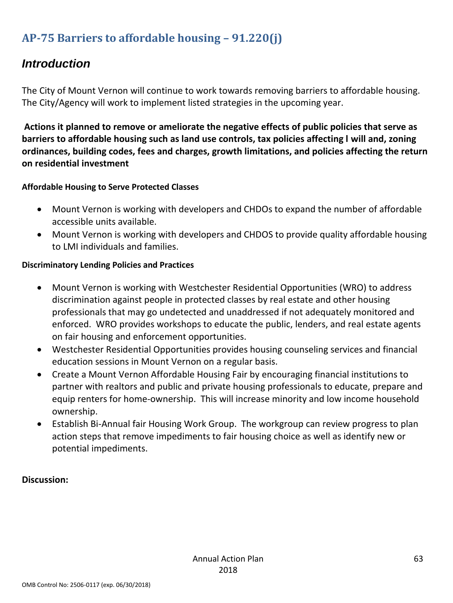## **AP-75 Barriers to affordable housing – 91.220(j)**

## *Introduction*

<span id="page-62-0"></span>The City of Mount Vernon will continue to work towards removing barriers to affordable housing. The City/Agency will work to implement listed strategies in the upcoming year.

<span id="page-62-1"></span>**Actions it planned to remove or ameliorate the negative effects of public policies that serve as barriers to affordable housing such as land use controls, tax policies affecting l will and, zoning ordinances, building codes, fees and charges, growth limitations, and policies affecting the return on residential investment**

#### **Affordable Housing to Serve Protected Classes**

- Mount Vernon is working with developers and CHDOs to expand the number of affordable accessible units available.
- Mount Vernon is working with developers and CHDOS to provide quality affordable housing to LMI individuals and families.

#### **Discriminatory Lending Policies and Practices**

- Mount Vernon is working with Westchester Residential Opportunities (WRO) to address discrimination against people in protected classes by real estate and other housing professionals that may go undetected and unaddressed if not adequately monitored and enforced. WRO provides workshops to educate the public, lenders, and real estate agents on fair housing and enforcement opportunities.
- Westchester Residential Opportunities provides housing counseling services and financial education sessions in Mount Vernon on a regular basis.
- Create a Mount Vernon Affordable Housing Fair by encouraging financial institutions to partner with realtors and public and private housing professionals to educate, prepare and equip renters for home-ownership. This will increase minority and low income household ownership.
- Establish Bi-Annual fair Housing Work Group. The workgroup can review progress to plan action steps that remove impediments to fair housing choice as well as identify new or potential impediments.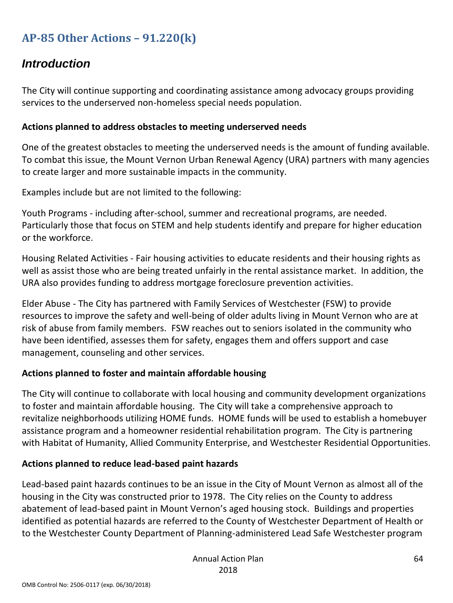### **AP-85 Other Actions – 91.220(k)**

## *Introduction*

<span id="page-63-0"></span>The City will continue supporting and coordinating assistance among advocacy groups providing services to the underserved non-homeless special needs population.

#### <span id="page-63-1"></span>**Actions planned to address obstacles to meeting underserved needs**

One of the greatest obstacles to meeting the underserved needs is the amount of funding available. To combat this issue, the Mount Vernon Urban Renewal Agency (URA) partners with many agencies to create larger and more sustainable impacts in the community.

Examples include but are not limited to the following:

Youth Programs - including after-school, summer and recreational programs, are needed. Particularly those that focus on STEM and help students identify and prepare for higher education or the workforce.

Housing Related Activities - Fair housing activities to educate residents and their housing rights as well as assist those who are being treated unfairly in the rental assistance market. In addition, the URA also provides funding to address mortgage foreclosure prevention activities.

Elder Abuse - The City has partnered with Family Services of Westchester (FSW) to provide resources to improve the safety and well-being of older adults living in Mount Vernon who are at risk of abuse from family members. FSW reaches out to seniors isolated in the community who have been identified, assesses them for safety, engages them and offers support and case management, counseling and other services.

#### **Actions planned to foster and maintain affordable housing**

The City will continue to collaborate with local housing and community development organizations to foster and maintain affordable housing. The City will take a comprehensive approach to revitalize neighborhoods utilizing HOME funds. HOME funds will be used to establish a homebuyer assistance program and a homeowner residential rehabilitation program. The City is partnering with Habitat of Humanity, Allied Community Enterprise, and Westchester Residential Opportunities.

#### **Actions planned to reduce lead-based paint hazards**

Lead-based paint hazards continues to be an issue in the City of Mount Vernon as almost all of the housing in the City was constructed prior to 1978. The City relies on the County to address abatement of lead-based paint in Mount Vernon's aged housing stock. Buildings and properties identified as potential hazards are referred to the County of Westchester Department of Health or to the Westchester County Department of Planning-administered Lead Safe Westchester program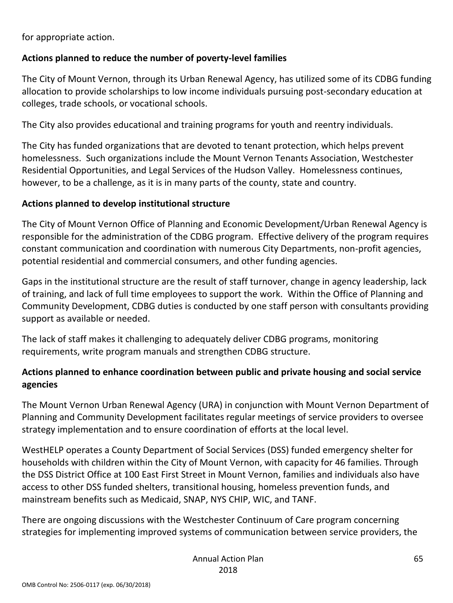for appropriate action.

#### **Actions planned to reduce the number of poverty-level families**

The City of Mount Vernon, through its Urban Renewal Agency, has utilized some of its CDBG funding allocation to provide scholarships to low income individuals pursuing post-secondary education at colleges, trade schools, or vocational schools.

The City also provides educational and training programs for youth and reentry individuals.

The City has funded organizations that are devoted to tenant protection, which helps prevent homelessness. Such organizations include the Mount Vernon Tenants Association, Westchester Residential Opportunities, and Legal Services of the Hudson Valley. Homelessness continues, however, to be a challenge, as it is in many parts of the county, state and country.

#### **Actions planned to develop institutional structure**

The City of Mount Vernon Office of Planning and Economic Development/Urban Renewal Agency is responsible for the administration of the CDBG program. Effective delivery of the program requires constant communication and coordination with numerous City Departments, non-profit agencies, potential residential and commercial consumers, and other funding agencies.

Gaps in the institutional structure are the result of staff turnover, change in agency leadership, lack of training, and lack of full time employees to support the work. Within the Office of Planning and Community Development, CDBG duties is conducted by one staff person with consultants providing support as available or needed.

The lack of staff makes it challenging to adequately deliver CDBG programs, monitoring requirements, write program manuals and strengthen CDBG structure.

#### **Actions planned to enhance coordination between public and private housing and social service agencies**

The Mount Vernon Urban Renewal Agency (URA) in conjunction with Mount Vernon Department of Planning and Community Development facilitates regular meetings of service providers to oversee strategy implementation and to ensure coordination of efforts at the local level.

WestHELP operates a County Department of Social Services (DSS) funded emergency shelter for households with children within the City of Mount Vernon, with capacity for 46 families. Through the DSS District Office at 100 East First Street in Mount Vernon, families and individuals also have access to other DSS funded shelters, transitional housing, homeless prevention funds, and mainstream benefits such as Medicaid, SNAP, NYS CHIP, WIC, and TANF.

There are ongoing discussions with the Westchester Continuum of Care program concerning strategies for implementing improved systems of communication between service providers, the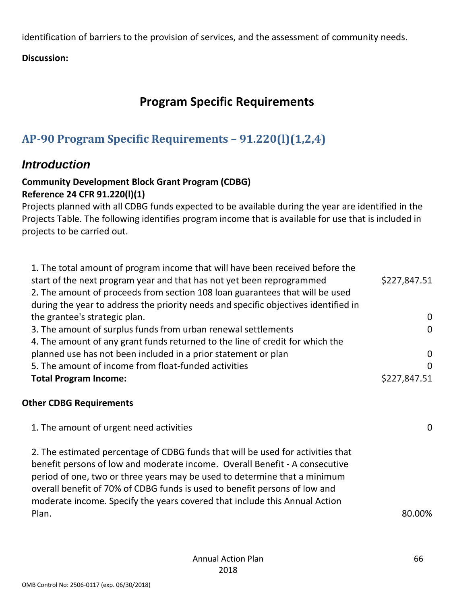identification of barriers to the provision of services, and the assessment of community needs.

**Discussion:** 

## **Program Specific Requirements**

## **AP-90 Program Specific Requirements – 91.220(l)(1,2,4)**

### *Introduction*

#### <span id="page-65-0"></span>**Community Development Block Grant Program (CDBG) Reference 24 CFR 91.220(l)(1)**

<span id="page-65-1"></span>Projects planned with all CDBG funds expected to be available during the year are identified in the Projects Table. The following identifies program income that is available for use that is included in projects to be carried out.

| 1. The total amount of program income that will have been received before the       |              |
|-------------------------------------------------------------------------------------|--------------|
| start of the next program year and that has not yet been reprogrammed               | \$227,847.51 |
| 2. The amount of proceeds from section 108 loan guarantees that will be used        |              |
| during the year to address the priority needs and specific objectives identified in |              |
| the grantee's strategic plan.                                                       | 0            |
| 3. The amount of surplus funds from urban renewal settlements                       | $\Omega$     |
| 4. The amount of any grant funds returned to the line of credit for which the       |              |
| planned use has not been included in a prior statement or plan                      | $\Omega$     |
| 5. The amount of income from float-funded activities                                | $\Omega$     |
| <b>Total Program Income:</b>                                                        | \$227,847.51 |
|                                                                                     |              |
|                                                                                     |              |

#### **Other CDBG Requirements**

| 1. The amount of urgent need activities                                                                                                                                                                                                                                                                                                                                                                 | 0      |
|---------------------------------------------------------------------------------------------------------------------------------------------------------------------------------------------------------------------------------------------------------------------------------------------------------------------------------------------------------------------------------------------------------|--------|
| 2. The estimated percentage of CDBG funds that will be used for activities that<br>benefit persons of low and moderate income. Overall Benefit - A consecutive<br>period of one, two or three years may be used to determine that a minimum<br>overall benefit of 70% of CDBG funds is used to benefit persons of low and<br>moderate income. Specify the years covered that include this Annual Action |        |
| Plan.                                                                                                                                                                                                                                                                                                                                                                                                   | 80.00% |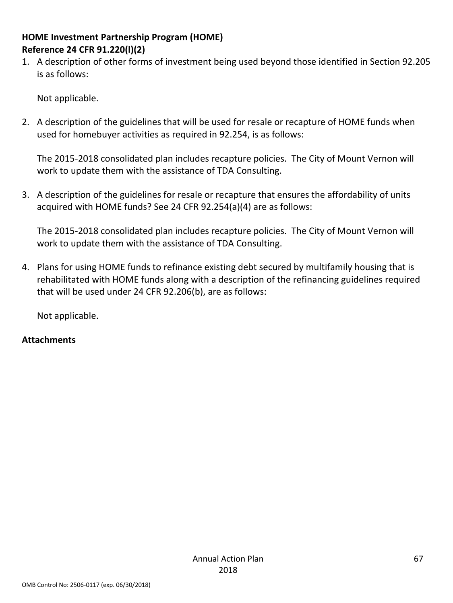#### **HOME Investment Partnership Program (HOME) Reference 24 CFR 91.220(l)(2)**

1. A description of other forms of investment being used beyond those identified in Section 92.205 is as follows:

Not applicable.

2. A description of the guidelines that will be used for resale or recapture of HOME funds when used for homebuyer activities as required in 92.254, is as follows:

The 2015-2018 consolidated plan includes recapture policies. The City of Mount Vernon will work to update them with the assistance of TDA Consulting.

3. A description of the guidelines for resale or recapture that ensures the affordability of units acquired with HOME funds? See 24 CFR 92.254(a)(4) are as follows:

The 2015-2018 consolidated plan includes recapture policies. The City of Mount Vernon will work to update them with the assistance of TDA Consulting.

4. Plans for using HOME funds to refinance existing debt secured by multifamily housing that is rehabilitated with HOME funds along with a description of the refinancing guidelines required that will be used under 24 CFR 92.206(b), are as follows:

Not applicable.

#### **Attachments**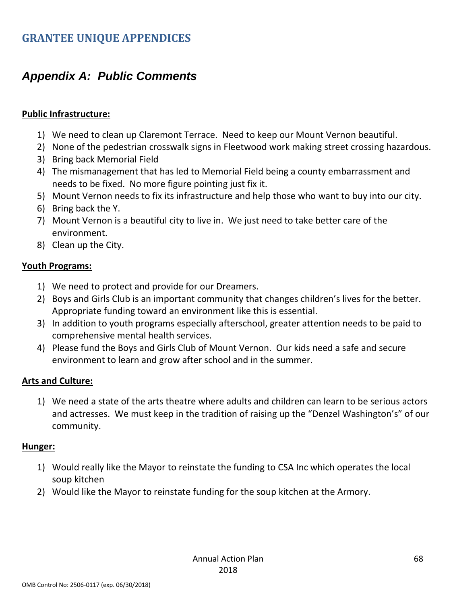## *Appendix A: Public Comments*

#### <span id="page-67-0"></span>**Public Infrastructure:**

- <span id="page-67-1"></span>1) We need to clean up Claremont Terrace. Need to keep our Mount Vernon beautiful.
- 2) None of the pedestrian crosswalk signs in Fleetwood work making street crossing hazardous.
- 3) Bring back Memorial Field
- 4) The mismanagement that has led to Memorial Field being a county embarrassment and needs to be fixed. No more figure pointing just fix it.
- 5) Mount Vernon needs to fix its infrastructure and help those who want to buy into our city.
- 6) Bring back the Y.
- 7) Mount Vernon is a beautiful city to live in. We just need to take better care of the environment.
- 8) Clean up the City.

#### **Youth Programs:**

- 1) We need to protect and provide for our Dreamers.
- 2) Boys and Girls Club is an important community that changes children's lives for the better. Appropriate funding toward an environment like this is essential.
- 3) In addition to youth programs especially afterschool, greater attention needs to be paid to comprehensive mental health services.
- 4) Please fund the Boys and Girls Club of Mount Vernon. Our kids need a safe and secure environment to learn and grow after school and in the summer.

#### **Arts and Culture:**

1) We need a state of the arts theatre where adults and children can learn to be serious actors and actresses. We must keep in the tradition of raising up the "Denzel Washington's" of our community.

#### **Hunger:**

- 1) Would really like the Mayor to reinstate the funding to CSA Inc which operates the local soup kitchen
- 2) Would like the Mayor to reinstate funding for the soup kitchen at the Armory.